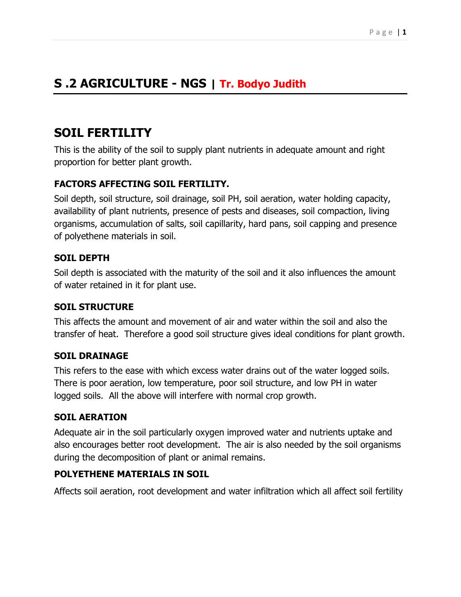# S .2 AGRICULTURE - NGS | Tr. Bodyo Judith

# SOIL FERTILITY

This is the ability of the soil to supply plant nutrients in adequate amount and right proportion for better plant growth.

## FACTORS AFFECTING SOIL FERTILITY.

Soil depth, soil structure, soil drainage, soil PH, soil aeration, water holding capacity, availability of plant nutrients, presence of pests and diseases, soil compaction, living organisms, accumulation of salts, soil capillarity, hard pans, soil capping and presence of polyethene materials in soil.

## SOIL DEPTH

Soil depth is associated with the maturity of the soil and it also influences the amount of water retained in it for plant use.

### SOIL STRUCTURE

This affects the amount and movement of air and water within the soil and also the transfer of heat. Therefore a good soil structure gives ideal conditions for plant growth.

## SOIL DRAINAGE

This refers to the ease with which excess water drains out of the water logged soils. There is poor aeration, low temperature, poor soil structure, and low PH in water logged soils. All the above will interfere with normal crop growth.

### SOIL AERATION

Adequate air in the soil particularly oxygen improved water and nutrients uptake and also encourages better root development. The air is also needed by the soil organisms during the decomposition of plant or animal remains.

## POLYETHENE MATERIALS IN SOIL

Affects soil aeration, root development and water infiltration which all affect soil fertility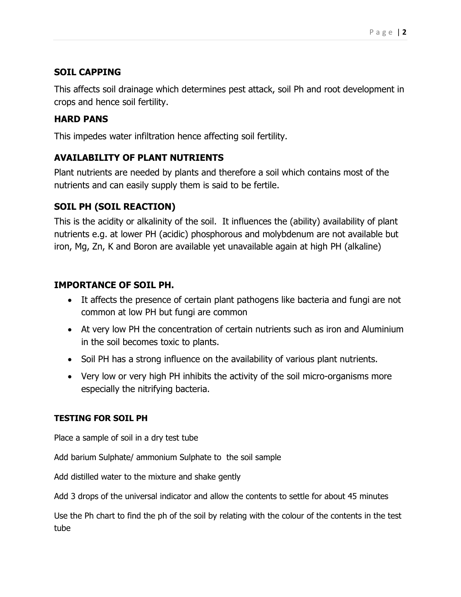## SOIL CAPPING

This affects soil drainage which determines pest attack, soil Ph and root development in crops and hence soil fertility.

## HARD PANS

This impedes water infiltration hence affecting soil fertility.

## AVAILABILITY OF PLANT NUTRIENTS

Plant nutrients are needed by plants and therefore a soil which contains most of the nutrients and can easily supply them is said to be fertile.

# SOIL PH (SOIL REACTION)

This is the acidity or alkalinity of the soil. It influences the (ability) availability of plant nutrients e.g. at lower PH (acidic) phosphorous and molybdenum are not available but iron, Mg, Zn, K and Boron are available yet unavailable again at high PH (alkaline)

## IMPORTANCE OF SOIL PH.

- It affects the presence of certain plant pathogens like bacteria and fungi are not common at low PH but fungi are common
- At very low PH the concentration of certain nutrients such as iron and Aluminium in the soil becomes toxic to plants.
- Soil PH has a strong influence on the availability of various plant nutrients.
- Very low or very high PH inhibits the activity of the soil micro-organisms more especially the nitrifying bacteria.

### TESTING FOR SOIL PH

Place a sample of soil in a dry test tube

Add barium Sulphate/ ammonium Sulphate to the soil sample

Add distilled water to the mixture and shake gently

Add 3 drops of the universal indicator and allow the contents to settle for about 45 minutes

Use the Ph chart to find the ph of the soil by relating with the colour of the contents in the test tube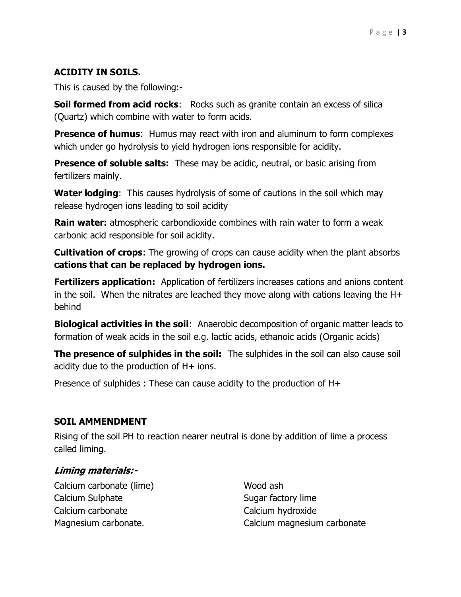# ACIDITY IN SOILS.

This is caused by the following:-

**Soil formed from acid rocks:** Rocks such as granite contain an excess of silica (Quartz) which combine with water to form acids.

**Presence of humus:** Humus may react with iron and aluminum to form complexes which under go hydrolysis to yield hydrogen ions responsible for acidity.

**Presence of soluble salts:** These may be acidic, neutral, or basic arising from fertilizers mainly.

Water lodging: This causes hydrolysis of some of cautions in the soil which may release hydrogen ions leading to soil acidity

**Rain water:** atmospheric carbondioxide combines with rain water to form a weak carbonic acid responsible for soil acidity.

**Cultivation of crops:** The growing of crops can cause acidity when the plant absorbs cations that can be replaced by hydrogen ions.

**Fertilizers application:** Application of fertilizers increases cations and anions content in the soil. When the nitrates are leached they move along with cations leaving the H+ behind

**Biological activities in the soil:** Anaerobic decomposition of organic matter leads to formation of weak acids in the soil e.g. lactic acids, ethanoic acids (Organic acids)

**The presence of sulphides in the soil:** The sulphides in the soil can also cause soil acidity due to the production of  $H+$  ions.

Presence of sulphides : These can cause acidity to the production of H+

## SOIL AMMENDMENT

Rising of the soil PH to reaction nearer neutral is done by addition of lime a process called liming.

## Liming materials:-

Calcium carbonate (lime) Calcium Sulphate Calcium carbonate Magnesium carbonate.

Wood ash Sugar factory lime Calcium hydroxide Calcium magnesium carbonate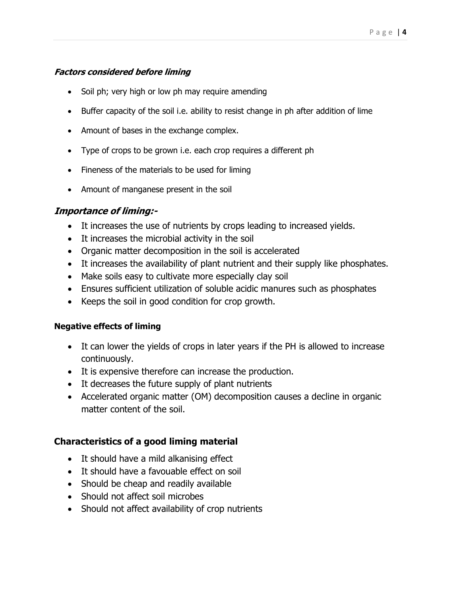## Factors considered before liming

- Soil ph; very high or low ph may require amending
- Buffer capacity of the soil i.e. ability to resist change in ph after addition of lime
- Amount of bases in the exchange complex.
- Type of crops to be grown i.e. each crop requires a different ph
- Fineness of the materials to be used for liming
- Amount of manganese present in the soil

## Importance of liming:-

- It increases the use of nutrients by crops leading to increased yields.
- It increases the microbial activity in the soil
- Organic matter decomposition in the soil is accelerated
- It increases the availability of plant nutrient and their supply like phosphates.
- Make soils easy to cultivate more especially clay soil
- Ensures sufficient utilization of soluble acidic manures such as phosphates
- Keeps the soil in good condition for crop growth.

### Negative effects of liming

- It can lower the yields of crops in later years if the PH is allowed to increase continuously.
- It is expensive therefore can increase the production.
- It decreases the future supply of plant nutrients
- Accelerated organic matter (OM) decomposition causes a decline in organic matter content of the soil.

## Characteristics of a good liming material

- It should have a mild alkanising effect
- It should have a favouable effect on soil
- Should be cheap and readily available
- Should not affect soil microbes
- Should not affect availability of crop nutrients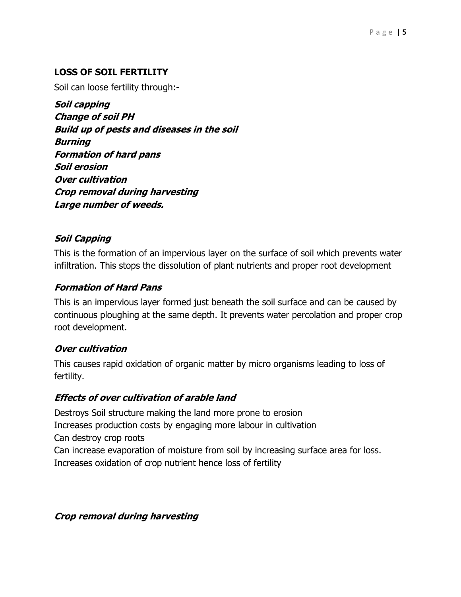## LOSS OF SOIL FERTILITY

Soil can loose fertility through:-

Soil capping Change of soil PH Build up of pests and diseases in the soil Burning Formation of hard pans Soil erosion Over cultivation Crop removal during harvesting Large number of weeds.

## Soil Capping

This is the formation of an impervious layer on the surface of soil which prevents water infiltration. This stops the dissolution of plant nutrients and proper root development

## Formation of Hard Pans

This is an impervious layer formed just beneath the soil surface and can be caused by continuous ploughing at the same depth. It prevents water percolation and proper crop root development.

## Over cultivation

This causes rapid oxidation of organic matter by micro organisms leading to loss of fertility.

## Effects of over cultivation of arable land

Destroys Soil structure making the land more prone to erosion Increases production costs by engaging more labour in cultivation Can destroy crop roots Can increase evaporation of moisture from soil by increasing surface area for loss. Increases oxidation of crop nutrient hence loss of fertility

# Crop removal during harvesting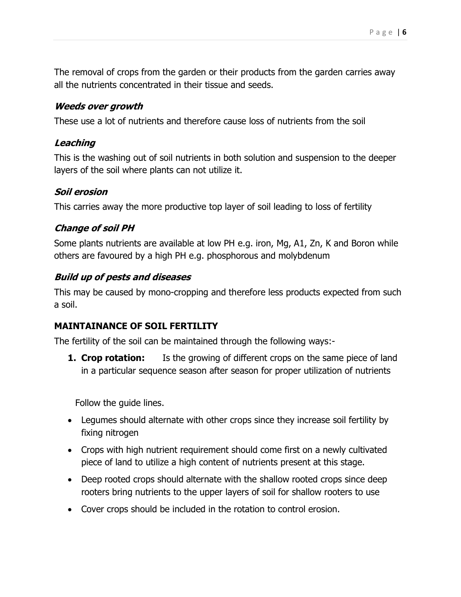The removal of crops from the garden or their products from the garden carries away all the nutrients concentrated in their tissue and seeds.

## Weeds over growth

These use a lot of nutrients and therefore cause loss of nutrients from the soil

# Leaching

This is the washing out of soil nutrients in both solution and suspension to the deeper layers of the soil where plants can not utilize it.

# Soil erosion

This carries away the more productive top layer of soil leading to loss of fertility

# Change of soil PH

Some plants nutrients are available at low PH e.g. iron, Mg, A1, Zn, K and Boron while others are favoured by a high PH e.g. phosphorous and molybdenum

# Build up of pests and diseases

This may be caused by mono-cropping and therefore less products expected from such a soil.

# MAINTAINANCE OF SOIL FERTILITY

The fertility of the soil can be maintained through the following ways:-

**1. Crop rotation:** Is the growing of different crops on the same piece of land in a particular sequence season after season for proper utilization of nutrients

Follow the guide lines.

- Legumes should alternate with other crops since they increase soil fertility by fixing nitrogen
- Crops with high nutrient requirement should come first on a newly cultivated piece of land to utilize a high content of nutrients present at this stage.
- Deep rooted crops should alternate with the shallow rooted crops since deep rooters bring nutrients to the upper layers of soil for shallow rooters to use
- Cover crops should be included in the rotation to control erosion.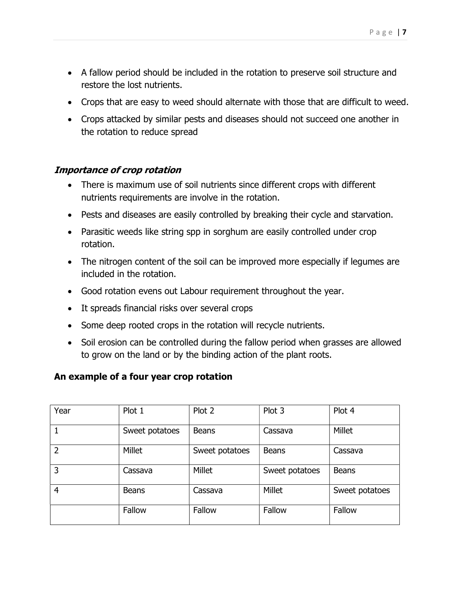- A fallow period should be included in the rotation to preserve soil structure and restore the lost nutrients.
- Crops that are easy to weed should alternate with those that are difficult to weed.
- Crops attacked by similar pests and diseases should not succeed one another in the rotation to reduce spread

## Importance of crop rotation

- There is maximum use of soil nutrients since different crops with different nutrients requirements are involve in the rotation.
- Pests and diseases are easily controlled by breaking their cycle and starvation.
- Parasitic weeds like string spp in sorghum are easily controlled under crop rotation.
- The nitrogen content of the soil can be improved more especially if legumes are included in the rotation.
- Good rotation evens out Labour requirement throughout the year.
- It spreads financial risks over several crops
- Some deep rooted crops in the rotation will recycle nutrients.
- Soil erosion can be controlled during the fallow period when grasses are allowed to grow on the land or by the binding action of the plant roots.

## An example of a four year crop rotation

| Year           | Plot 1         | Plot 2         | Plot 3         | Plot 4         |
|----------------|----------------|----------------|----------------|----------------|
|                | Sweet potatoes | <b>Beans</b>   | Cassava        | <b>Millet</b>  |
| $\overline{2}$ | Millet         | Sweet potatoes | <b>Beans</b>   | Cassava        |
| 3              | Cassava        | Millet         | Sweet potatoes | <b>Beans</b>   |
| 4              | <b>Beans</b>   | Cassava        | Millet         | Sweet potatoes |
|                | Fallow         | Fallow         | Fallow         | Fallow         |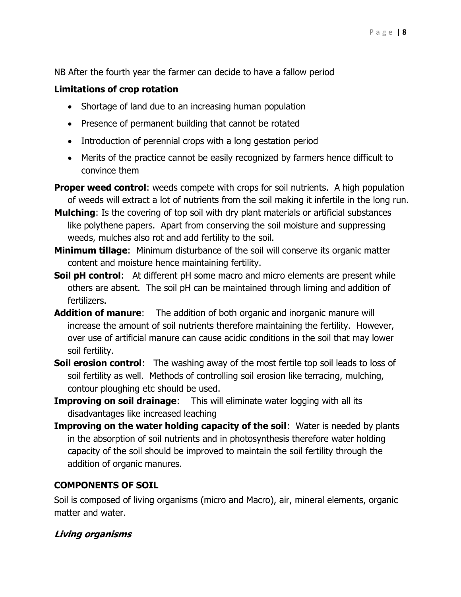NB After the fourth year the farmer can decide to have a fallow period

## Limitations of crop rotation

- Shortage of land due to an increasing human population
- Presence of permanent building that cannot be rotated
- Introduction of perennial crops with a long gestation period
- Merits of the practice cannot be easily recognized by farmers hence difficult to convince them
- **Proper weed control:** weeds compete with crops for soil nutrients. A high population of weeds will extract a lot of nutrients from the soil making it infertile in the long run.
- **Mulching**: Is the covering of top soil with dry plant materials or artificial substances like polythene papers. Apart from conserving the soil moisture and suppressing weeds, mulches also rot and add fertility to the soil.
- **Minimum tillage:** Minimum disturbance of the soil will conserve its organic matter content and moisture hence maintaining fertility.
- **Soil pH control:** At different pH some macro and micro elements are present while others are absent. The soil pH can be maintained through liming and addition of fertilizers.
- **Addition of manure:** The addition of both organic and inorganic manure will increase the amount of soil nutrients therefore maintaining the fertility. However, over use of artificial manure can cause acidic conditions in the soil that may lower soil fertility.
- **Soil erosion control:** The washing away of the most fertile top soil leads to loss of soil fertility as well. Methods of controlling soil erosion like terracing, mulching, contour ploughing etc should be used.
- **Improving on soil drainage:** This will eliminate water logging with all its disadvantages like increased leaching
- **Improving on the water holding capacity of the soil:** Water is needed by plants in the absorption of soil nutrients and in photosynthesis therefore water holding capacity of the soil should be improved to maintain the soil fertility through the addition of organic manures.

# COMPONENTS OF SOIL

Soil is composed of living organisms (micro and Macro), air, mineral elements, organic matter and water.

# Living organisms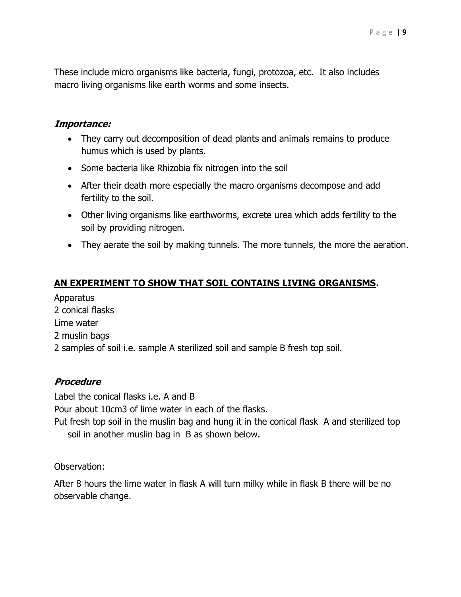These include micro organisms like bacteria, fungi, protozoa, etc. It also includes macro living organisms like earth worms and some insects.

## Importance:

- They carry out decomposition of dead plants and animals remains to produce humus which is used by plants.
- Some bacteria like Rhizobia fix nitrogen into the soil
- After their death more especially the macro organisms decompose and add fertility to the soil.
- Other living organisms like earthworms, excrete urea which adds fertility to the soil by providing nitrogen.
- They aerate the soil by making tunnels. The more tunnels, the more the aeration.

## AN EXPERIMENT TO SHOW THAT SOIL CONTAINS LIVING ORGANISMS.

Apparatus 2 conical flasks Lime water 2 muslin bags 2 samples of soil i.e. sample A sterilized soil and sample B fresh top soil.

## **Procedure**

Label the conical flasks i.e. A and B

Pour about 10cm3 of lime water in each of the flasks.

Put fresh top soil in the muslin bag and hung it in the conical flask A and sterilized top soil in another muslin bag in B as shown below.

Observation:

After 8 hours the lime water in flask A will turn milky while in flask B there will be no observable change.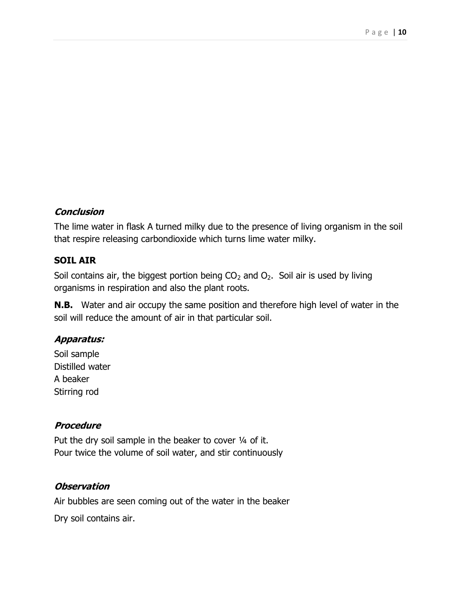## **Conclusion**

The lime water in flask A turned milky due to the presence of living organism in the soil that respire releasing carbondioxide which turns lime water milky.

## SOIL AIR

Soil contains air, the biggest portion being  $CO<sub>2</sub>$  and  $O<sub>2</sub>$ . Soil air is used by living organisms in respiration and also the plant roots.

N.B. Water and air occupy the same position and therefore high level of water in the soil will reduce the amount of air in that particular soil.

## Apparatus:

Soil sample Distilled water A beaker Stirring rod

### **Procedure**

Put the dry soil sample in the beaker to cover 1/4 of it. Pour twice the volume of soil water, and stir continuously

## **Observation**

Air bubbles are seen coming out of the water in the beaker

Dry soil contains air.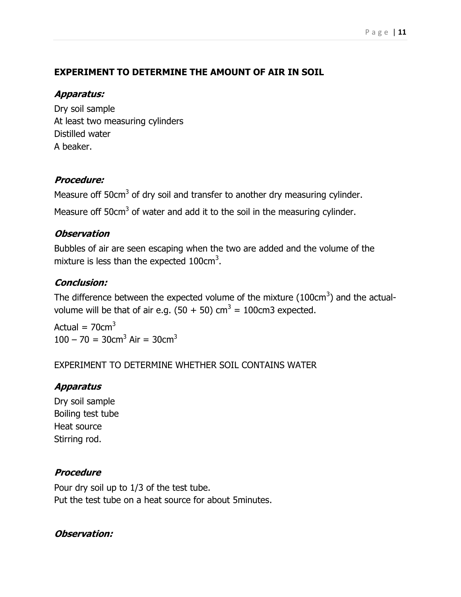# EXPERIMENT TO DETERMINE THE AMOUNT OF AIR IN SOIL

# Apparatus:

Dry soil sample At least two measuring cylinders Distilled water A beaker.

# Procedure:

Measure off 50cm<sup>3</sup> of dry soil and transfer to another dry measuring cylinder. Measure off 50 $cm<sup>3</sup>$  of water and add it to the soil in the measuring cylinder.

# **Observation**

Bubbles of air are seen escaping when the two are added and the volume of the mixture is less than the expected  $100 \text{cm}^3$ .

# Conclusion:

The difference between the expected volume of the mixture (100cm<sup>3</sup>) and the actualvolume will be that of air e.g. (50 + 50) cm<sup>3</sup> = 100cm3 expected.

Actual =  $70 \text{cm}^3$  $100 - 70 = 30$ cm<sup>3</sup> Air = 30cm<sup>3</sup>

EXPERIMENT TO DETERMINE WHETHER SOIL CONTAINS WATER

# Apparatus

Dry soil sample Boiling test tube Heat source Stirring rod.

# **Procedure**

Pour dry soil up to 1/3 of the test tube. Put the test tube on a heat source for about 5minutes.

# Observation: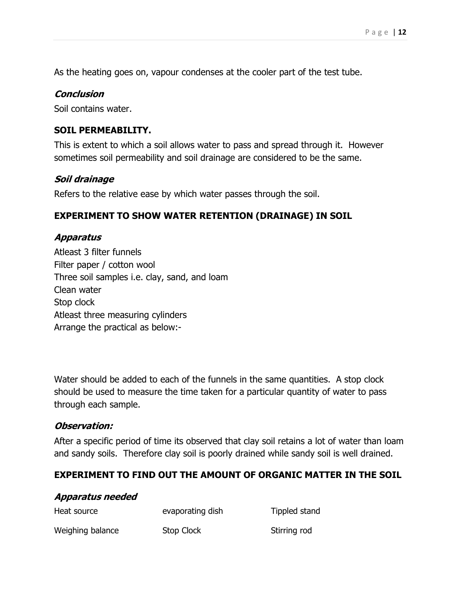As the heating goes on, vapour condenses at the cooler part of the test tube.

### **Conclusion**

Soil contains water.

### SOIL PERMEABILITY.

This is extent to which a soil allows water to pass and spread through it. However sometimes soil permeability and soil drainage are considered to be the same.

## Soil drainage

Refers to the relative ease by which water passes through the soil.

## EXPERIMENT TO SHOW WATER RETENTION (DRAINAGE) IN SOIL

## Apparatus

Atleast 3 filter funnels Filter paper / cotton wool Three soil samples i.e. clay, sand, and loam Clean water Stop clock Atleast three measuring cylinders Arrange the practical as below:-

Water should be added to each of the funnels in the same quantities. A stop clock should be used to measure the time taken for a particular quantity of water to pass through each sample.

### Observation:

After a specific period of time its observed that clay soil retains a lot of water than loam and sandy soils. Therefore clay soil is poorly drained while sandy soil is well drained.

### EXPERIMENT TO FIND OUT THE AMOUNT OF ORGANIC MATTER IN THE SOIL

### Apparatus needed

| Heat source      | evaporating dish | Tippled stand |
|------------------|------------------|---------------|
| Weighing balance | Stop Clock       | Stirring rod  |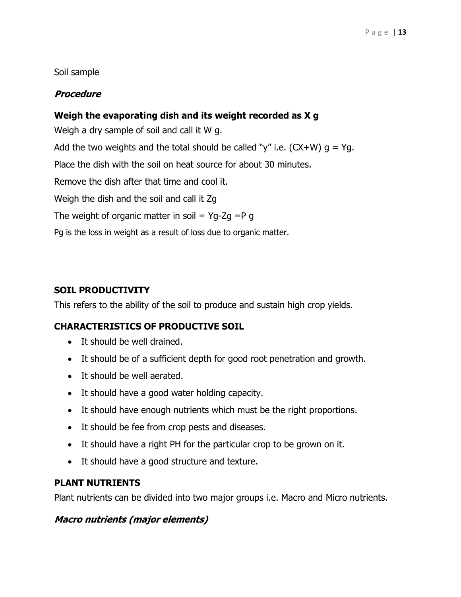Soil sample

## Procedure

# Weigh the evaporating dish and its weight recorded as X g

Weigh a dry sample of soil and call it W g.

Add the two weights and the total should be called "y" i.e.  $(CX+W)$  g = Yg.

Place the dish with the soil on heat source for about 30 minutes.

Remove the dish after that time and cool it.

Weigh the dish and the soil and call it Zg

The weight of organic matter in soil  $=$  Yg-Zg  $=$ P g

Pg is the loss in weight as a result of loss due to organic matter.

# SOIL PRODUCTIVITY

This refers to the ability of the soil to produce and sustain high crop yields.

# CHARACTERISTICS OF PRODUCTIVE SOIL

- It should be well drained.
- It should be of a sufficient depth for good root penetration and growth.
- It should be well aerated.
- It should have a good water holding capacity.
- It should have enough nutrients which must be the right proportions.
- It should be fee from crop pests and diseases.
- It should have a right PH for the particular crop to be grown on it.
- It should have a good structure and texture.

# PLANT NUTRIENTS

Plant nutrients can be divided into two major groups i.e. Macro and Micro nutrients.

# Macro nutrients (major elements)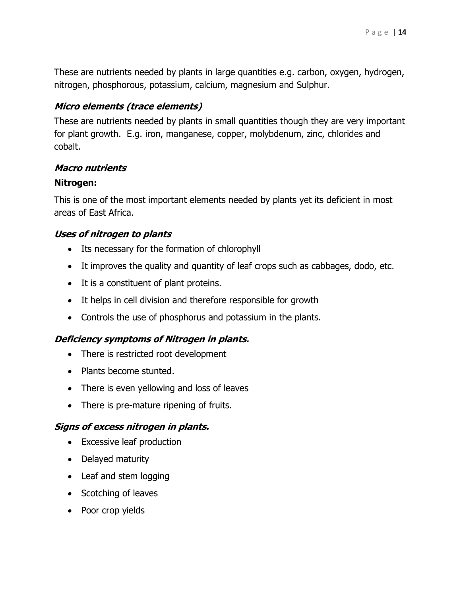These are nutrients needed by plants in large quantities e.g. carbon, oxygen, hydrogen, nitrogen, phosphorous, potassium, calcium, magnesium and Sulphur.

## Micro elements (trace elements)

These are nutrients needed by plants in small quantities though they are very important for plant growth. E.g. iron, manganese, copper, molybdenum, zinc, chlorides and cobalt.

### Macro nutrients

### Nitrogen:

This is one of the most important elements needed by plants yet its deficient in most areas of East Africa.

## Uses of nitrogen to plants

- Its necessary for the formation of chlorophyll
- It improves the quality and quantity of leaf crops such as cabbages, dodo, etc.
- It is a constituent of plant proteins.
- It helps in cell division and therefore responsible for growth
- Controls the use of phosphorus and potassium in the plants.

## Deficiency symptoms of Nitrogen in plants.

- There is restricted root development
- Plants become stunted.
- There is even yellowing and loss of leaves
- There is pre-mature ripening of fruits.

## Signs of excess nitrogen in plants.

- Excessive leaf production
- Delayed maturity
- Leaf and stem logging
- Scotching of leaves
- Poor crop yields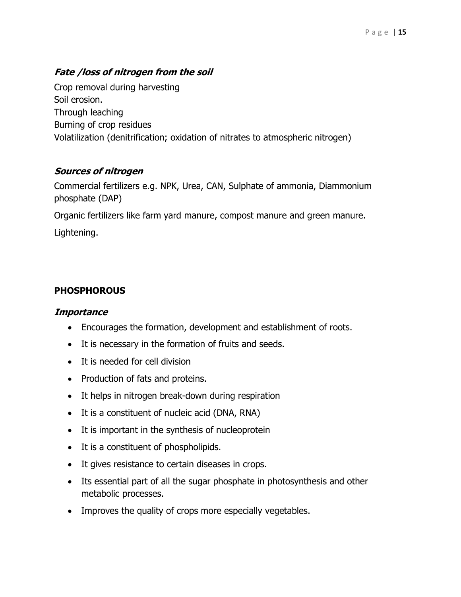## Fate /loss of nitrogen from the soil

Crop removal during harvesting Soil erosion. Through leaching Burning of crop residues Volatilization (denitrification; oxidation of nitrates to atmospheric nitrogen)

## Sources of nitrogen

Commercial fertilizers e.g. NPK, Urea, CAN, Sulphate of ammonia, Diammonium phosphate (DAP)

Organic fertilizers like farm yard manure, compost manure and green manure. Lightening.

# **PHOSPHOROUS**

### **Importance**

- Encourages the formation, development and establishment of roots.
- It is necessary in the formation of fruits and seeds.
- It is needed for cell division
- Production of fats and proteins.
- It helps in nitrogen break-down during respiration
- It is a constituent of nucleic acid (DNA, RNA)
- It is important in the synthesis of nucleoprotein
- It is a constituent of phospholipids.
- It gives resistance to certain diseases in crops.
- Its essential part of all the sugar phosphate in photosynthesis and other metabolic processes.
- Improves the quality of crops more especially vegetables.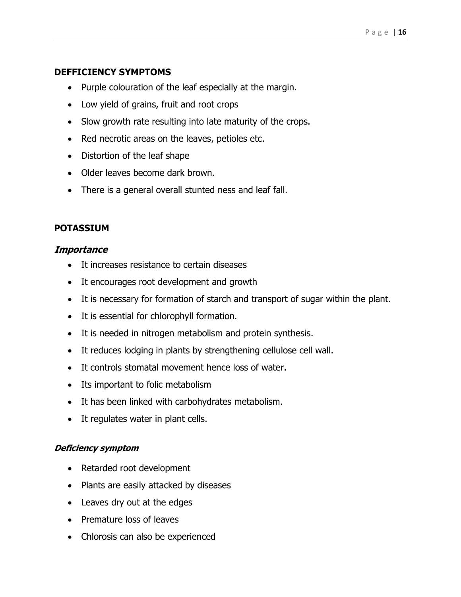## DEFFICIENCY SYMPTOMS

- Purple colouration of the leaf especially at the margin.
- Low yield of grains, fruit and root crops
- Slow growth rate resulting into late maturity of the crops.
- Red necrotic areas on the leaves, petioles etc.
- Distortion of the leaf shape
- Older leaves become dark brown.
- There is a general overall stunted ness and leaf fall.

## POTASSIUM

### Importance

- It increases resistance to certain diseases
- It encourages root development and growth
- It is necessary for formation of starch and transport of sugar within the plant.
- It is essential for chlorophyll formation.
- It is needed in nitrogen metabolism and protein synthesis.
- It reduces lodging in plants by strengthening cellulose cell wall.
- It controls stomatal movement hence loss of water.
- Its important to folic metabolism
- It has been linked with carbohydrates metabolism.
- It regulates water in plant cells.

### Deficiency symptom

- Retarded root development
- Plants are easily attacked by diseases
- Leaves dry out at the edges
- Premature loss of leaves
- Chlorosis can also be experienced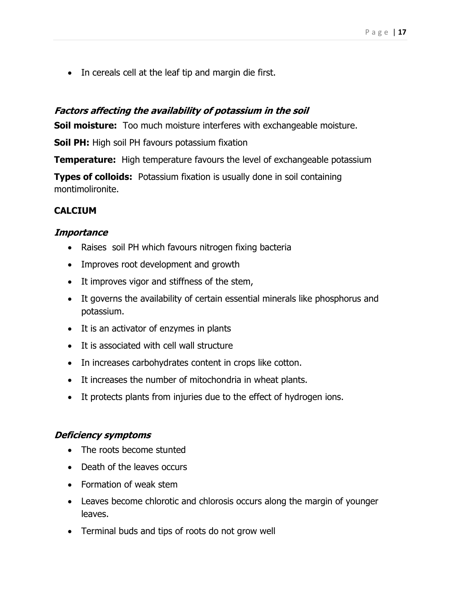• In cereals cell at the leaf tip and margin die first.

### Factors affecting the availability of potassium in the soil

**Soil moisture:** Too much moisture interferes with exchangeable moisture.

**Soil PH:** High soil PH favours potassium fixation

**Temperature:** High temperature favours the level of exchangeable potassium

**Types of colloids:** Potassium fixation is usually done in soil containing montimolironite.

## **CALCIUM**

### **Importance**

- Raises soil PH which favours nitrogen fixing bacteria
- Improves root development and growth
- It improves vigor and stiffness of the stem,
- It governs the availability of certain essential minerals like phosphorus and potassium.
- It is an activator of enzymes in plants
- It is associated with cell wall structure
- In increases carbohydrates content in crops like cotton.
- It increases the number of mitochondria in wheat plants.
- It protects plants from injuries due to the effect of hydrogen ions.

### Deficiency symptoms

- The roots become stunted
- Death of the leaves occurs
- Formation of weak stem
- Leaves become chlorotic and chlorosis occurs along the margin of younger leaves.
- Terminal buds and tips of roots do not grow well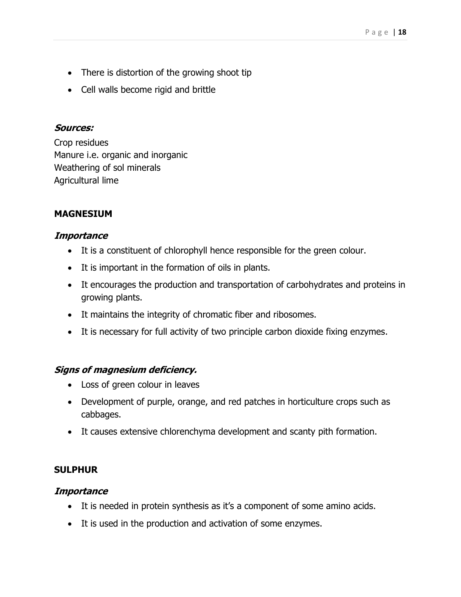- There is distortion of the growing shoot tip
- Cell walls become rigid and brittle

### Sources:

Crop residues Manure i.e. organic and inorganic Weathering of sol minerals Agricultural lime

## MAGNESIUM

## **Importance**

- It is a constituent of chlorophyll hence responsible for the green colour.
- It is important in the formation of oils in plants.
- It encourages the production and transportation of carbohydrates and proteins in growing plants.
- It maintains the integrity of chromatic fiber and ribosomes.
- It is necessary for full activity of two principle carbon dioxide fixing enzymes.

## Signs of magnesium deficiency.

- Loss of green colour in leaves
- Development of purple, orange, and red patches in horticulture crops such as cabbages.
- It causes extensive chlorenchyma development and scanty pith formation.

## SULPHUR

### **Importance**

- It is needed in protein synthesis as it's a component of some amino acids.
- It is used in the production and activation of some enzymes.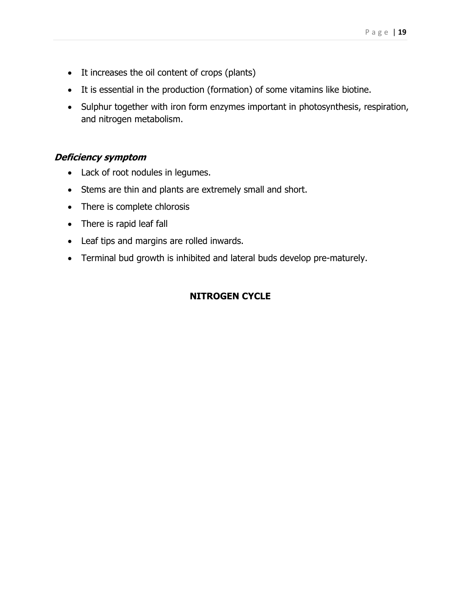- It increases the oil content of crops (plants)
- It is essential in the production (formation) of some vitamins like biotine.
- Sulphur together with iron form enzymes important in photosynthesis, respiration, and nitrogen metabolism.

## Deficiency symptom

- Lack of root nodules in legumes.
- Stems are thin and plants are extremely small and short.
- There is complete chlorosis
- There is rapid leaf fall
- Leaf tips and margins are rolled inwards.
- Terminal bud growth is inhibited and lateral buds develop pre-maturely.

## NITROGEN CYCLE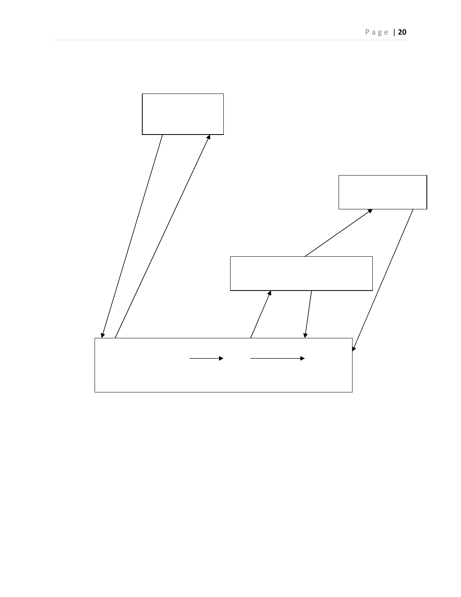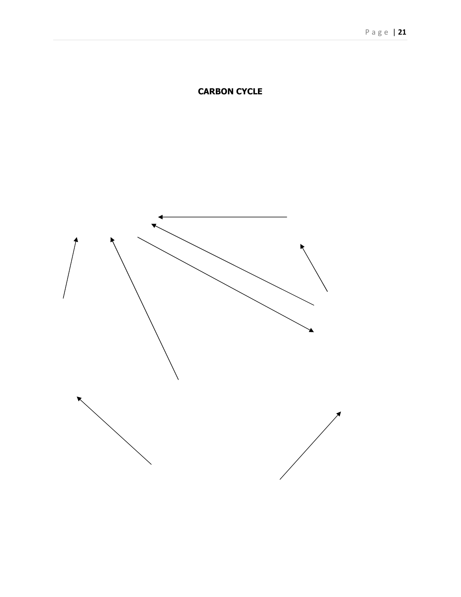

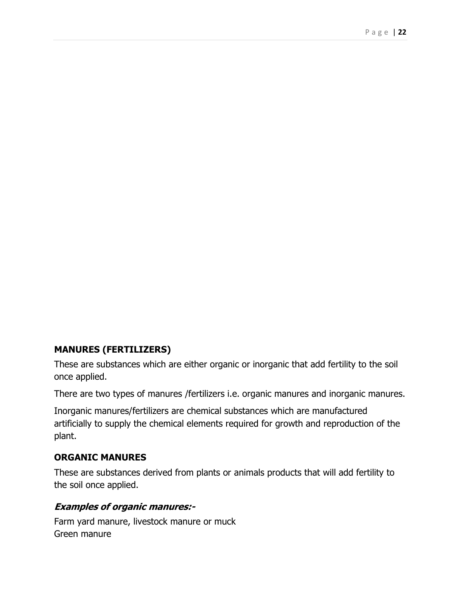### MANURES (FERTILIZERS)

These are substances which are either organic or inorganic that add fertility to the soil once applied.

There are two types of manures /fertilizers i.e. organic manures and inorganic manures.

Inorganic manures/fertilizers are chemical substances which are manufactured artificially to supply the chemical elements required for growth and reproduction of the plant.

### ORGANIC MANURES

These are substances derived from plants or animals products that will add fertility to the soil once applied.

## Examples of organic manures:-

Farm yard manure, livestock manure or muck Green manure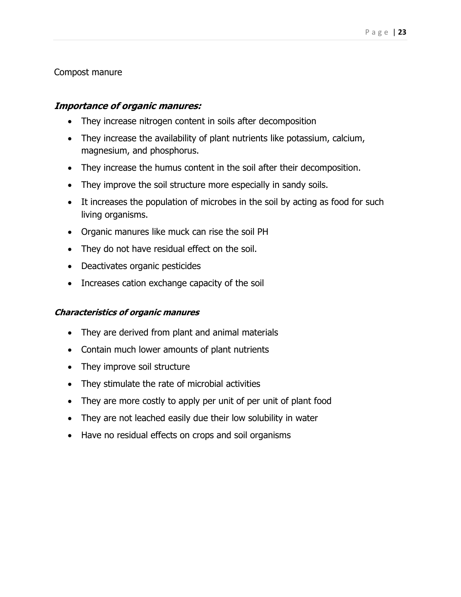Compost manure

### Importance of organic manures:

- They increase nitrogen content in soils after decomposition
- They increase the availability of plant nutrients like potassium, calcium, magnesium, and phosphorus.
- They increase the humus content in the soil after their decomposition.
- They improve the soil structure more especially in sandy soils.
- It increases the population of microbes in the soil by acting as food for such living organisms.
- Organic manures like muck can rise the soil PH
- They do not have residual effect on the soil.
- Deactivates organic pesticides
- Increases cation exchange capacity of the soil

### Characteristics of organic manures

- They are derived from plant and animal materials
- Contain much lower amounts of plant nutrients
- They improve soil structure
- They stimulate the rate of microbial activities
- They are more costly to apply per unit of per unit of plant food
- They are not leached easily due their low solubility in water
- Have no residual effects on crops and soil organisms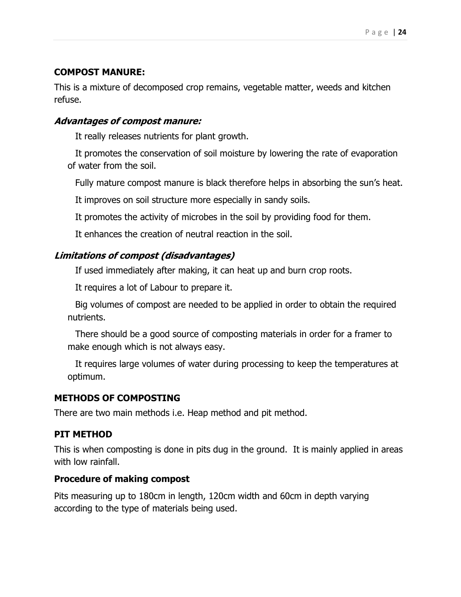## COMPOST MANURE:

This is a mixture of decomposed crop remains, vegetable matter, weeds and kitchen refuse.

### Advantages of compost manure:

It really releases nutrients for plant growth.

It promotes the conservation of soil moisture by lowering the rate of evaporation of water from the soil.

Fully mature compost manure is black therefore helps in absorbing the sun's heat.

It improves on soil structure more especially in sandy soils.

It promotes the activity of microbes in the soil by providing food for them.

It enhances the creation of neutral reaction in the soil.

## Limitations of compost (disadvantages)

If used immediately after making, it can heat up and burn crop roots.

It requires a lot of Labour to prepare it.

Big volumes of compost are needed to be applied in order to obtain the required nutrients.

There should be a good source of composting materials in order for a framer to make enough which is not always easy.

It requires large volumes of water during processing to keep the temperatures at optimum.

## METHODS OF COMPOSTING

There are two main methods i.e. Heap method and pit method.

## PIT METHOD

This is when composting is done in pits dug in the ground. It is mainly applied in areas with low rainfall.

## Procedure of making compost

Pits measuring up to 180cm in length, 120cm width and 60cm in depth varying according to the type of materials being used.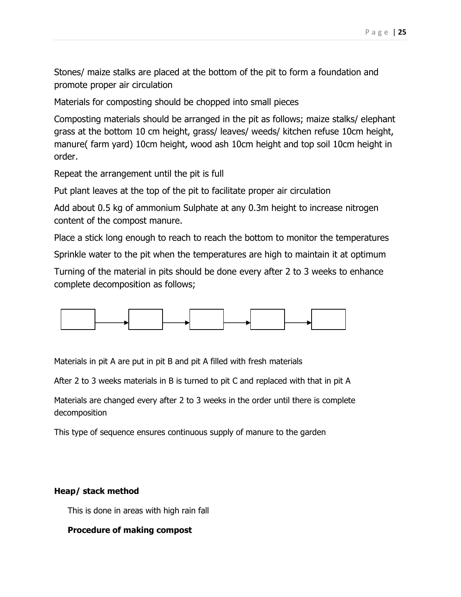Stones/ maize stalks are placed at the bottom of the pit to form a foundation and promote proper air circulation

Materials for composting should be chopped into small pieces

Composting materials should be arranged in the pit as follows; maize stalks/ elephant grass at the bottom 10 cm height, grass/ leaves/ weeds/ kitchen refuse 10cm height, manure( farm yard) 10cm height, wood ash 10cm height and top soil 10cm height in order.

Repeat the arrangement until the pit is full

Put plant leaves at the top of the pit to facilitate proper air circulation

Add about 0.5 kg of ammonium Sulphate at any 0.3m height to increase nitrogen content of the compost manure.

Place a stick long enough to reach to reach the bottom to monitor the temperatures

Sprinkle water to the pit when the temperatures are high to maintain it at optimum

Turning of the material in pits should be done every after 2 to 3 weeks to enhance complete decomposition as follows;



Materials in pit A are put in pit B and pit A filled with fresh materials

After 2 to 3 weeks materials in B is turned to pit C and replaced with that in pit A

Materials are changed every after 2 to 3 weeks in the order until there is complete decomposition

This type of sequence ensures continuous supply of manure to the garden

#### Heap/ stack method

This is done in areas with high rain fall

#### Procedure of making compost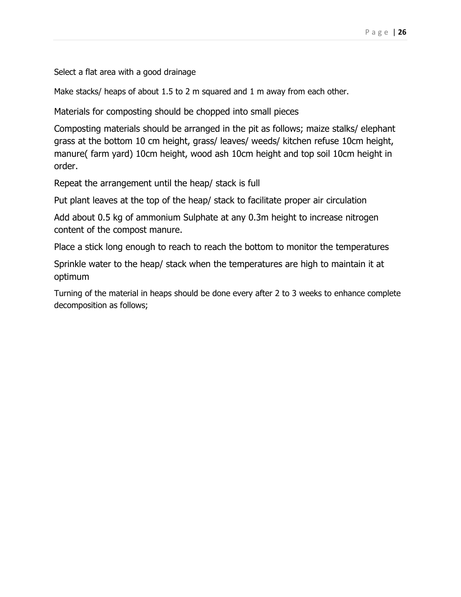Select a flat area with a good drainage

Make stacks/ heaps of about 1.5 to 2 m squared and 1 m away from each other.

Materials for composting should be chopped into small pieces

Composting materials should be arranged in the pit as follows; maize stalks/ elephant grass at the bottom 10 cm height, grass/ leaves/ weeds/ kitchen refuse 10cm height, manure( farm yard) 10cm height, wood ash 10cm height and top soil 10cm height in order.

Repeat the arrangement until the heap/ stack is full

Put plant leaves at the top of the heap/ stack to facilitate proper air circulation

Add about 0.5 kg of ammonium Sulphate at any 0.3m height to increase nitrogen content of the compost manure.

Place a stick long enough to reach to reach the bottom to monitor the temperatures

Sprinkle water to the heap/ stack when the temperatures are high to maintain it at optimum

Turning of the material in heaps should be done every after 2 to 3 weeks to enhance complete decomposition as follows;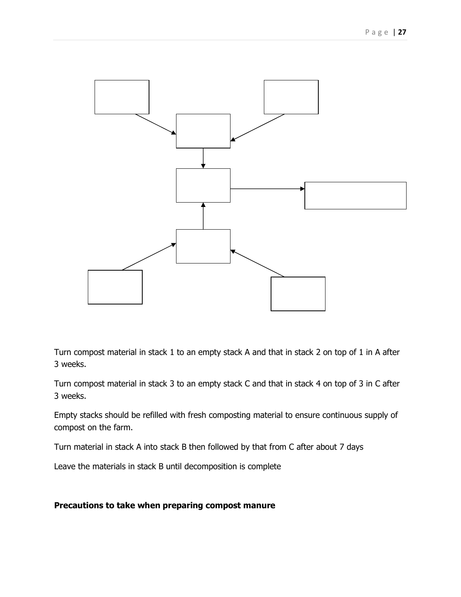

Turn compost material in stack 1 to an empty stack A and that in stack 2 on top of 1 in A after 3 weeks.

Turn compost material in stack 3 to an empty stack C and that in stack 4 on top of 3 in C after 3 weeks.

Empty stacks should be refilled with fresh composting material to ensure continuous supply of compost on the farm.

Turn material in stack A into stack B then followed by that from C after about 7 days

Leave the materials in stack B until decomposition is complete

### Precautions to take when preparing compost manure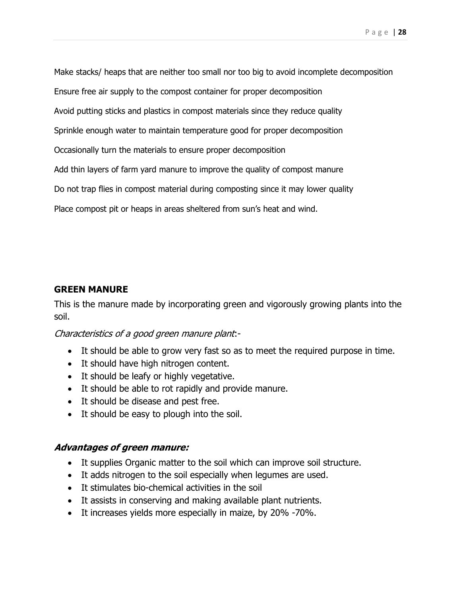Make stacks/ heaps that are neither too small nor too big to avoid incomplete decomposition Ensure free air supply to the compost container for proper decomposition Avoid putting sticks and plastics in compost materials since they reduce quality Sprinkle enough water to maintain temperature good for proper decomposition Occasionally turn the materials to ensure proper decomposition Add thin layers of farm yard manure to improve the quality of compost manure Do not trap flies in compost material during composting since it may lower quality Place compost pit or heaps in areas sheltered from sun's heat and wind.

### GREEN MANURE

This is the manure made by incorporating green and vigorously growing plants into the soil.

## Characteristics of a good green manure plant:-

- It should be able to grow very fast so as to meet the required purpose in time.
- It should have high nitrogen content.
- It should be leafy or highly vegetative.
- It should be able to rot rapidly and provide manure.
- It should be disease and pest free.
- It should be easy to plough into the soil.

#### Advantages of green manure:

- It supplies Organic matter to the soil which can improve soil structure.
- It adds nitrogen to the soil especially when legumes are used.
- It stimulates bio-chemical activities in the soil
- It assists in conserving and making available plant nutrients.
- It increases yields more especially in maize, by 20% -70%.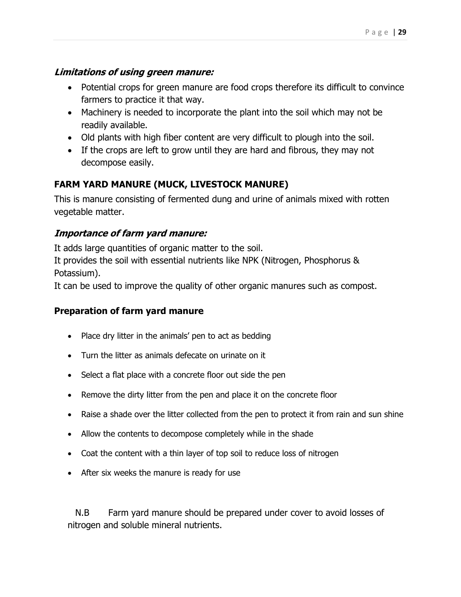## Limitations of using green manure:

- Potential crops for green manure are food crops therefore its difficult to convince farmers to practice it that way.
- Machinery is needed to incorporate the plant into the soil which may not be readily available.
- Old plants with high fiber content are very difficult to plough into the soil.
- If the crops are left to grow until they are hard and fibrous, they may not decompose easily.

# FARM YARD MANURE (MUCK, LIVESTOCK MANURE)

This is manure consisting of fermented dung and urine of animals mixed with rotten vegetable matter.

## Importance of farm yard manure:

It adds large quantities of organic matter to the soil.

It provides the soil with essential nutrients like NPK (Nitrogen, Phosphorus & Potassium).

It can be used to improve the quality of other organic manures such as compost.

## Preparation of farm yard manure

- Place dry litter in the animals' pen to act as bedding
- Turn the litter as animals defecate on urinate on it
- Select a flat place with a concrete floor out side the pen
- Remove the dirty litter from the pen and place it on the concrete floor
- Raise a shade over the litter collected from the pen to protect it from rain and sun shine
- Allow the contents to decompose completely while in the shade
- Coat the content with a thin layer of top soil to reduce loss of nitrogen
- After six weeks the manure is ready for use

N.B Farm yard manure should be prepared under cover to avoid losses of nitrogen and soluble mineral nutrients.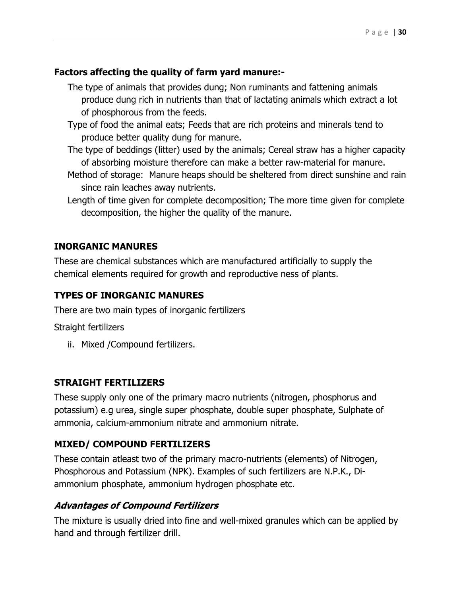## Factors affecting the quality of farm yard manure:-

- The type of animals that provides dung; Non ruminants and fattening animals produce dung rich in nutrients than that of lactating animals which extract a lot of phosphorous from the feeds.
- Type of food the animal eats; Feeds that are rich proteins and minerals tend to produce better quality dung for manure.
- The type of beddings (litter) used by the animals; Cereal straw has a higher capacity of absorbing moisture therefore can make a better raw-material for manure.
- Method of storage: Manure heaps should be sheltered from direct sunshine and rain since rain leaches away nutrients.
- Length of time given for complete decomposition; The more time given for complete decomposition, the higher the quality of the manure.

## INORGANIC MANURES

These are chemical substances which are manufactured artificially to supply the chemical elements required for growth and reproductive ness of plants.

## TYPES OF INORGANIC MANURES

There are two main types of inorganic fertilizers

Straight fertilizers

ii. Mixed /Compound fertilizers.

### STRAIGHT FERTILIZERS

These supply only one of the primary macro nutrients (nitrogen, phosphorus and potassium) e.g urea, single super phosphate, double super phosphate, Sulphate of ammonia, calcium-ammonium nitrate and ammonium nitrate.

## MIXED/ COMPOUND FERTILIZERS

These contain atleast two of the primary macro-nutrients (elements) of Nitrogen, Phosphorous and Potassium (NPK). Examples of such fertilizers are N.P.K., Diammonium phosphate, ammonium hydrogen phosphate etc.

## Advantages of Compound Fertilizers

The mixture is usually dried into fine and well-mixed granules which can be applied by hand and through fertilizer drill.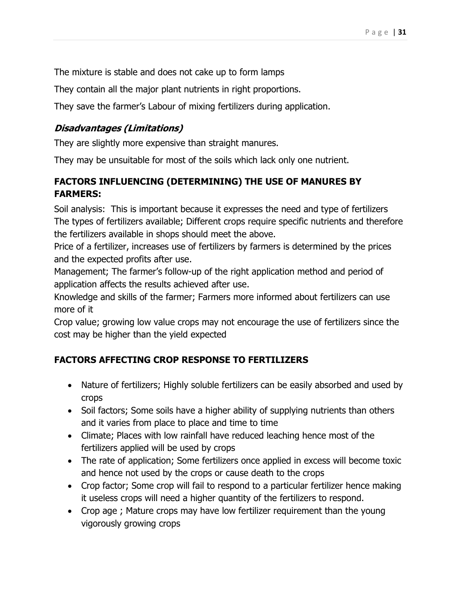The mixture is stable and does not cake up to form lamps

They contain all the major plant nutrients in right proportions.

They save the farmer's Labour of mixing fertilizers during application.

## Disadvantages (Limitations)

They are slightly more expensive than straight manures.

They may be unsuitable for most of the soils which lack only one nutrient.

# FACTORS INFLUENCING (DETERMINING) THE USE OF MANURES BY FARMERS:

Soil analysis: This is important because it expresses the need and type of fertilizers The types of fertilizers available; Different crops require specific nutrients and therefore the fertilizers available in shops should meet the above.

Price of a fertilizer, increases use of fertilizers by farmers is determined by the prices and the expected profits after use.

Management; The farmer's follow-up of the right application method and period of application affects the results achieved after use.

Knowledge and skills of the farmer; Farmers more informed about fertilizers can use more of it

Crop value; growing low value crops may not encourage the use of fertilizers since the cost may be higher than the yield expected

# FACTORS AFFECTING CROP RESPONSE TO FERTILIZERS

- Nature of fertilizers; Highly soluble fertilizers can be easily absorbed and used by crops
- Soil factors; Some soils have a higher ability of supplying nutrients than others and it varies from place to place and time to time
- Climate; Places with low rainfall have reduced leaching hence most of the fertilizers applied will be used by crops
- The rate of application; Some fertilizers once applied in excess will become toxic and hence not used by the crops or cause death to the crops
- Crop factor; Some crop will fail to respond to a particular fertilizer hence making it useless crops will need a higher quantity of the fertilizers to respond.
- Crop age ; Mature crops may have low fertilizer requirement than the young vigorously growing crops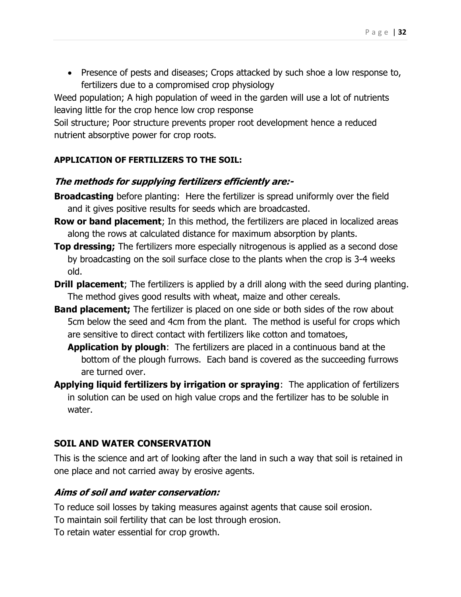• Presence of pests and diseases; Crops attacked by such shoe a low response to, fertilizers due to a compromised crop physiology

Weed population; A high population of weed in the garden will use a lot of nutrients leaving little for the crop hence low crop response

Soil structure; Poor structure prevents proper root development hence a reduced nutrient absorptive power for crop roots.

# APPLICATION OF FERTILIZERS TO THE SOIL:

# The methods for supplying fertilizers efficiently are:-

- **Broadcasting** before planting: Here the fertilizer is spread uniformly over the field and it gives positive results for seeds which are broadcasted.
- **Row or band placement**; In this method, the fertilizers are placed in localized areas along the rows at calculated distance for maximum absorption by plants.
- **Top dressing;** The fertilizers more especially nitrogenous is applied as a second dose by broadcasting on the soil surface close to the plants when the crop is 3-4 weeks old.
- **Drill placement**; The fertilizers is applied by a drill along with the seed during planting. The method gives good results with wheat, maize and other cereals.
- **Band placement;** The fertilizer is placed on one side or both sides of the row about 5cm below the seed and 4cm from the plant. The method is useful for crops which are sensitive to direct contact with fertilizers like cotton and tomatoes,
	- **Application by plough**: The fertilizers are placed in a continuous band at the bottom of the plough furrows. Each band is covered as the succeeding furrows are turned over.
- Applying liquid fertilizers by irrigation or spraying: The application of fertilizers in solution can be used on high value crops and the fertilizer has to be soluble in water.

# SOIL AND WATER CONSERVATION

This is the science and art of looking after the land in such a way that soil is retained in one place and not carried away by erosive agents.

# Aims of soil and water conservation:

To reduce soil losses by taking measures against agents that cause soil erosion.

To maintain soil fertility that can be lost through erosion.

To retain water essential for crop growth.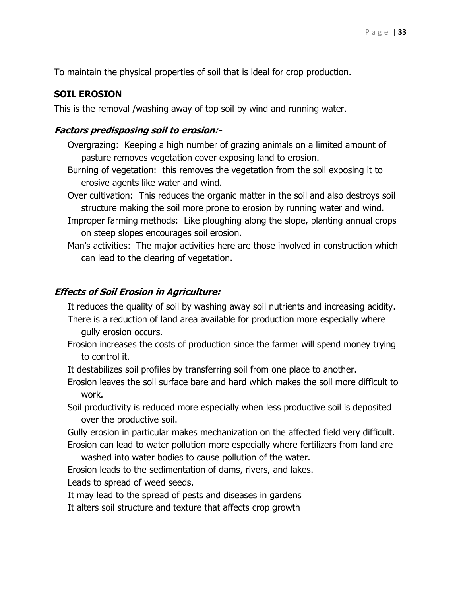To maintain the physical properties of soil that is ideal for crop production.

### SOIL EROSION

This is the removal /washing away of top soil by wind and running water.

### Factors predisposing soil to erosion:-

- Overgrazing: Keeping a high number of grazing animals on a limited amount of pasture removes vegetation cover exposing land to erosion.
- Burning of vegetation: this removes the vegetation from the soil exposing it to erosive agents like water and wind.
- Over cultivation: This reduces the organic matter in the soil and also destroys soil structure making the soil more prone to erosion by running water and wind.
- Improper farming methods: Like ploughing along the slope, planting annual crops on steep slopes encourages soil erosion.
- Man's activities: The major activities here are those involved in construction which can lead to the clearing of vegetation.

### Effects of Soil Erosion in Agriculture:

It reduces the quality of soil by washing away soil nutrients and increasing acidity.

- There is a reduction of land area available for production more especially where gully erosion occurs.
- Erosion increases the costs of production since the farmer will spend money trying to control it.
- It destabilizes soil profiles by transferring soil from one place to another.
- Erosion leaves the soil surface bare and hard which makes the soil more difficult to work.
- Soil productivity is reduced more especially when less productive soil is deposited over the productive soil.

Gully erosion in particular makes mechanization on the affected field very difficult. Erosion can lead to water pollution more especially where fertilizers from land are

washed into water bodies to cause pollution of the water.

Erosion leads to the sedimentation of dams, rivers, and lakes. Leads to spread of weed seeds.

It may lead to the spread of pests and diseases in gardens

It alters soil structure and texture that affects crop growth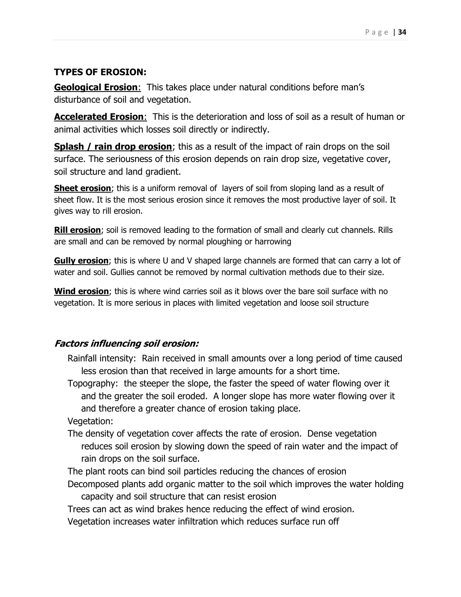### TYPES OF EROSION:

Geological Erosion: This takes place under natural conditions before man's disturbance of soil and vegetation.

Accelerated Erosion: This is the deterioration and loss of soil as a result of human or animal activities which losses soil directly or indirectly.

Splash / rain drop erosion; this as a result of the impact of rain drops on the soil surface. The seriousness of this erosion depends on rain drop size, vegetative cover, soil structure and land gradient.

**Sheet erosion**; this is a uniform removal of layers of soil from sloping land as a result of sheet flow. It is the most serious erosion since it removes the most productive layer of soil. It gives way to rill erosion.

**Rill erosion**; soil is removed leading to the formation of small and clearly cut channels. Rills are small and can be removed by normal ploughing or harrowing

Gully erosion; this is where U and V shaped large channels are formed that can carry a lot of water and soil. Gullies cannot be removed by normal cultivation methods due to their size.

**Wind erosion**; this is where wind carries soil as it blows over the bare soil surface with no vegetation. It is more serious in places with limited vegetation and loose soil structure

### Factors influencing soil erosion:

- Rainfall intensity: Rain received in small amounts over a long period of time caused less erosion than that received in large amounts for a short time.
- Topography: the steeper the slope, the faster the speed of water flowing over it and the greater the soil eroded. A longer slope has more water flowing over it and therefore a greater chance of erosion taking place.

Vegetation:

The density of vegetation cover affects the rate of erosion. Dense vegetation reduces soil erosion by slowing down the speed of rain water and the impact of rain drops on the soil surface.

The plant roots can bind soil particles reducing the chances of erosion

Decomposed plants add organic matter to the soil which improves the water holding capacity and soil structure that can resist erosion

Trees can act as wind brakes hence reducing the effect of wind erosion.

Vegetation increases water infiltration which reduces surface run off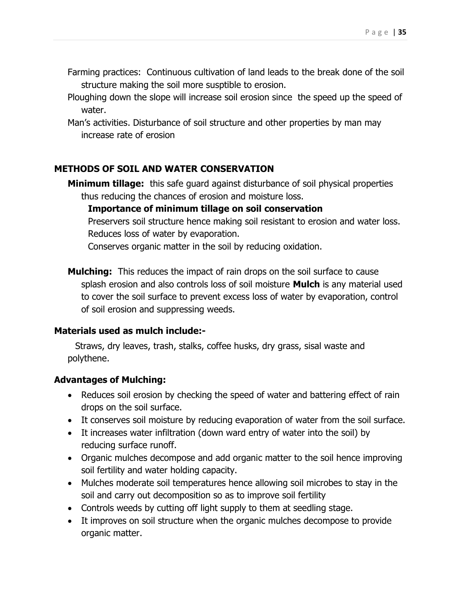- Farming practices: Continuous cultivation of land leads to the break done of the soil structure making the soil more susptible to erosion.
- Ploughing down the slope will increase soil erosion since the speed up the speed of water.
- Man's activities. Disturbance of soil structure and other properties by man may increase rate of erosion

### METHODS OF SOIL AND WATER CONSERVATION

**Minimum tillage:** this safe guard against disturbance of soil physical properties thus reducing the chances of erosion and moisture loss.

Importance of minimum tillage on soil conservation

Preservers soil structure hence making soil resistant to erosion and water loss. Reduces loss of water by evaporation.

Conserves organic matter in the soil by reducing oxidation.

**Mulching:** This reduces the impact of rain drops on the soil surface to cause splash erosion and also controls loss of soil moisture **Mulch** is any material used to cover the soil surface to prevent excess loss of water by evaporation, control of soil erosion and suppressing weeds.

### Materials used as mulch include:-

Straws, dry leaves, trash, stalks, coffee husks, dry grass, sisal waste and polythene.

### Advantages of Mulching:

- Reduces soil erosion by checking the speed of water and battering effect of rain drops on the soil surface.
- It conserves soil moisture by reducing evaporation of water from the soil surface.
- It increases water infiltration (down ward entry of water into the soil) by reducing surface runoff.
- Organic mulches decompose and add organic matter to the soil hence improving soil fertility and water holding capacity.
- Mulches moderate soil temperatures hence allowing soil microbes to stay in the soil and carry out decomposition so as to improve soil fertility
- Controls weeds by cutting off light supply to them at seedling stage.
- It improves on soil structure when the organic mulches decompose to provide organic matter.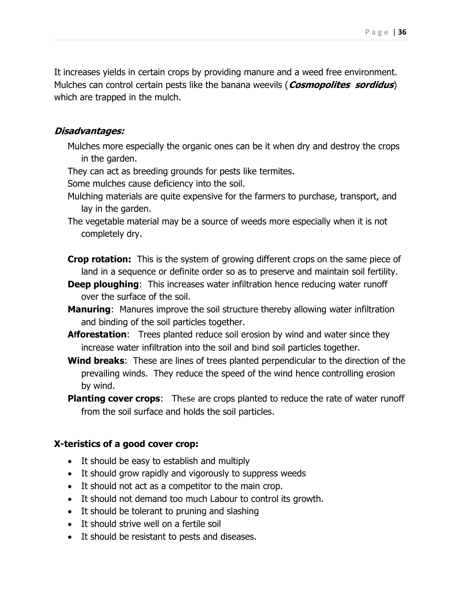It increases yields in certain crops by providing manure and a weed free environment. Mulches can control certain pests like the banana weevils (*Cosmopolites sordidus*) which are trapped in the mulch.

### Disadvantages:

- Mulches more especially the organic ones can be it when dry and destroy the crops in the garden.
- They can act as breeding grounds for pests like termites.

Some mulches cause deficiency into the soil.

- Mulching materials are quite expensive for the farmers to purchase, transport, and lay in the garden.
- The vegetable material may be a source of weeds more especially when it is not completely dry.

**Crop rotation:** This is the system of growing different crops on the same piece of land in a sequence or definite order so as to preserve and maintain soil fertility.

- **Deep ploughing:** This increases water infiltration hence reducing water runoff over the surface of the soil.
- **Manuring:** Manures improve the soil structure thereby allowing water infiltration and binding of the soil particles together.
- **Afforestation:** Trees planted reduce soil erosion by wind and water since they increase water infiltration into the soil and bind soil particles together.
- **Wind breaks:** These are lines of trees planted perpendicular to the direction of the prevailing winds. They reduce the speed of the wind hence controlling erosion by wind.
- **Planting cover crops:** These are crops planted to reduce the rate of water runoff from the soil surface and holds the soil particles.

### X-teristics of a good cover crop:

- It should be easy to establish and multiply
- It should grow rapidly and vigorously to suppress weeds
- It should not act as a competitor to the main crop.
- It should not demand too much Labour to control its growth.
- It should be tolerant to pruning and slashing
- It should strive well on a fertile soil
- It should be resistant to pests and diseases.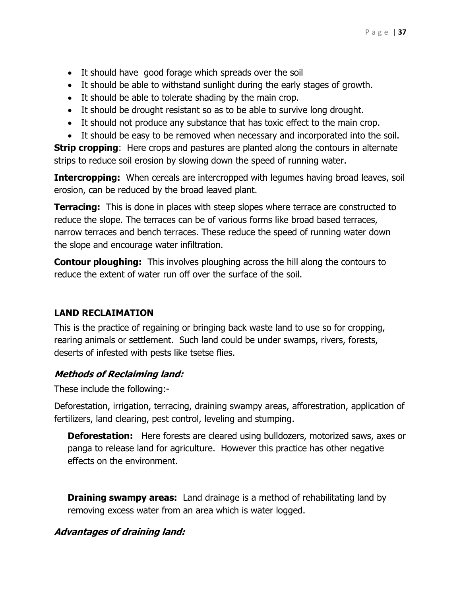- It should have good forage which spreads over the soil
- It should be able to withstand sunlight during the early stages of growth.
- It should be able to tolerate shading by the main crop.
- It should be drought resistant so as to be able to survive long drought.
- It should not produce any substance that has toxic effect to the main crop.
- It should be easy to be removed when necessary and incorporated into the soil.

**Strip cropping:** Here crops and pastures are planted along the contours in alternate strips to reduce soil erosion by slowing down the speed of running water.

**Intercropping:** When cereals are intercropped with legumes having broad leaves, soil erosion, can be reduced by the broad leaved plant.

**Terracing:** This is done in places with steep slopes where terrace are constructed to reduce the slope. The terraces can be of various forms like broad based terraces, narrow terraces and bench terraces. These reduce the speed of running water down the slope and encourage water infiltration.

**Contour ploughing:** This involves ploughing across the hill along the contours to reduce the extent of water run off over the surface of the soil.

## LAND RECLAIMATION

This is the practice of regaining or bringing back waste land to use so for cropping, rearing animals or settlement. Such land could be under swamps, rivers, forests, deserts of infested with pests like tsetse flies.

### Methods of Reclaiming land:

These include the following:-

Deforestation, irrigation, terracing, draining swampy areas, afforestration, application of fertilizers, land clearing, pest control, leveling and stumping.

**Deforestation:** Here forests are cleared using bulldozers, motorized saws, axes or panga to release land for agriculture. However this practice has other negative effects on the environment.

**Draining swampy areas:** Land drainage is a method of rehabilitating land by removing excess water from an area which is water logged.

### Advantages of draining land: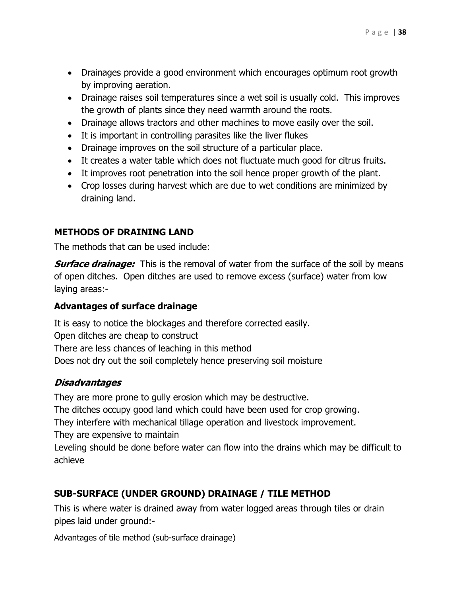- Drainages provide a good environment which encourages optimum root growth by improving aeration.
- Drainage raises soil temperatures since a wet soil is usually cold. This improves the growth of plants since they need warmth around the roots.
- Drainage allows tractors and other machines to move easily over the soil.
- It is important in controlling parasites like the liver flukes
- Drainage improves on the soil structure of a particular place.
- It creates a water table which does not fluctuate much good for citrus fruits.
- It improves root penetration into the soil hence proper growth of the plant.
- Crop losses during harvest which are due to wet conditions are minimized by draining land.

# METHODS OF DRAINING LAND

The methods that can be used include:

**Surface drainage:** This is the removal of water from the surface of the soil by means of open ditches. Open ditches are used to remove excess (surface) water from low laying areas:-

# Advantages of surface drainage

It is easy to notice the blockages and therefore corrected easily. Open ditches are cheap to construct There are less chances of leaching in this method Does not dry out the soil completely hence preserving soil moisture

# Disadvantages

They are more prone to gully erosion which may be destructive. The ditches occupy good land which could have been used for crop growing. They interfere with mechanical tillage operation and livestock improvement. They are expensive to maintain Leveling should be done before water can flow into the drains which may be difficult to achieve

# SUB-SURFACE (UNDER GROUND) DRAINAGE / TILE METHOD

This is where water is drained away from water logged areas through tiles or drain pipes laid under ground:-

Advantages of tile method (sub-surface drainage)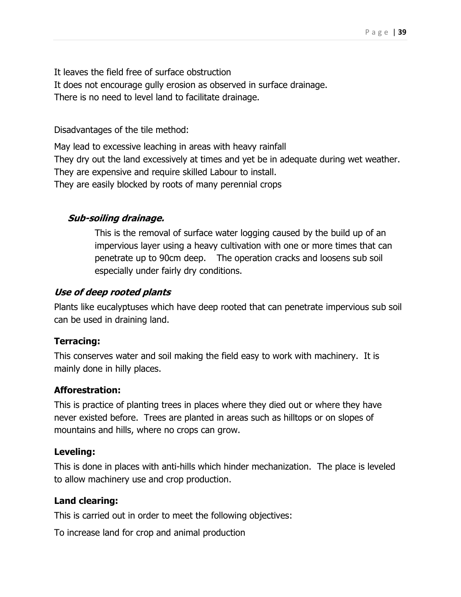It leaves the field free of surface obstruction It does not encourage gully erosion as observed in surface drainage. There is no need to level land to facilitate drainage.

### Disadvantages of the tile method:

May lead to excessive leaching in areas with heavy rainfall They dry out the land excessively at times and yet be in adequate during wet weather. They are expensive and require skilled Labour to install. They are easily blocked by roots of many perennial crops

### Sub-soiling drainage.

This is the removal of surface water logging caused by the build up of an impervious layer using a heavy cultivation with one or more times that can penetrate up to 90cm deep. The operation cracks and loosens sub soil especially under fairly dry conditions.

### Use of deep rooted plants

Plants like eucalyptuses which have deep rooted that can penetrate impervious sub soil can be used in draining land.

### Terracing:

This conserves water and soil making the field easy to work with machinery. It is mainly done in hilly places.

### Afforestration:

This is practice of planting trees in places where they died out or where they have never existed before. Trees are planted in areas such as hilltops or on slopes of mountains and hills, where no crops can grow.

### Leveling:

This is done in places with anti-hills which hinder mechanization. The place is leveled to allow machinery use and crop production.

### Land clearing:

This is carried out in order to meet the following objectives:

To increase land for crop and animal production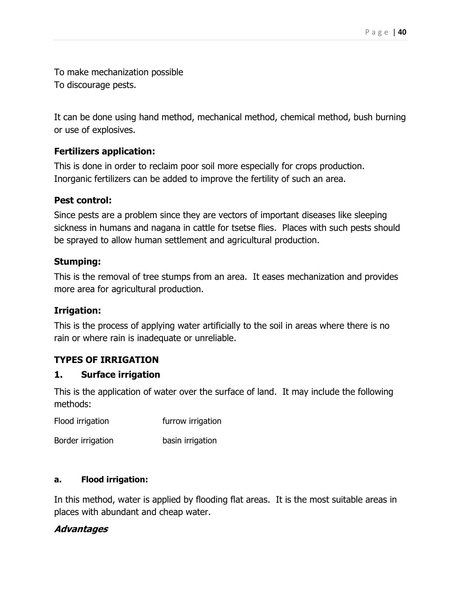To make mechanization possible To discourage pests.

It can be done using hand method, mechanical method, chemical method, bush burning or use of explosives.

## Fertilizers application:

This is done in order to reclaim poor soil more especially for crops production. Inorganic fertilizers can be added to improve the fertility of such an area.

### Pest control:

Since pests are a problem since they are vectors of important diseases like sleeping sickness in humans and nagana in cattle for tsetse flies. Places with such pests should be sprayed to allow human settlement and agricultural production.

### Stumping:

This is the removal of tree stumps from an area. It eases mechanization and provides more area for agricultural production.

### Irrigation:

This is the process of applying water artificially to the soil in areas where there is no rain or where rain is inadequate or unreliable.

# TYPES OF IRRIGATION

### 1. Surface irrigation

This is the application of water over the surface of land. It may include the following methods:

| Flood irrigation  | furrow irrigation |
|-------------------|-------------------|
| Border irrigation | basin irrigation  |

### a. Flood irrigation:

In this method, water is applied by flooding flat areas. It is the most suitable areas in places with abundant and cheap water.

## Advantages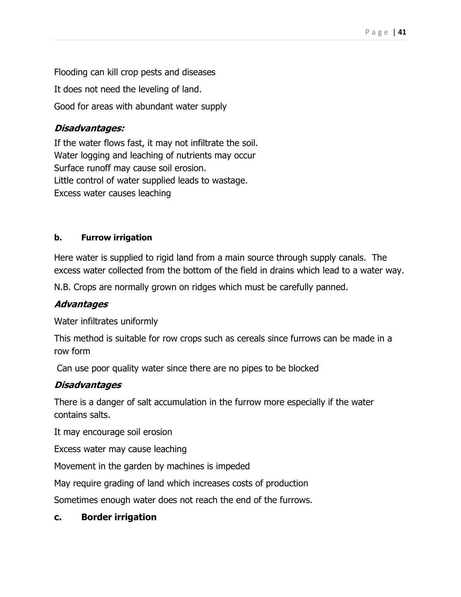Flooding can kill crop pests and diseases It does not need the leveling of land. Good for areas with abundant water supply

### Disadvantages:

If the water flows fast, it may not infiltrate the soil. Water logging and leaching of nutrients may occur Surface runoff may cause soil erosion. Little control of water supplied leads to wastage. Excess water causes leaching

### b. Furrow irrigation

Here water is supplied to rigid land from a main source through supply canals. The excess water collected from the bottom of the field in drains which lead to a water way.

N.B. Crops are normally grown on ridges which must be carefully panned.

### Advantages

Water infiltrates uniformly

This method is suitable for row crops such as cereals since furrows can be made in a row form

Can use poor quality water since there are no pipes to be blocked

### **Disadvantages**

There is a danger of salt accumulation in the furrow more especially if the water contains salts.

It may encourage soil erosion

Excess water may cause leaching

Movement in the garden by machines is impeded

May require grading of land which increases costs of production

Sometimes enough water does not reach the end of the furrows.

### c. Border irrigation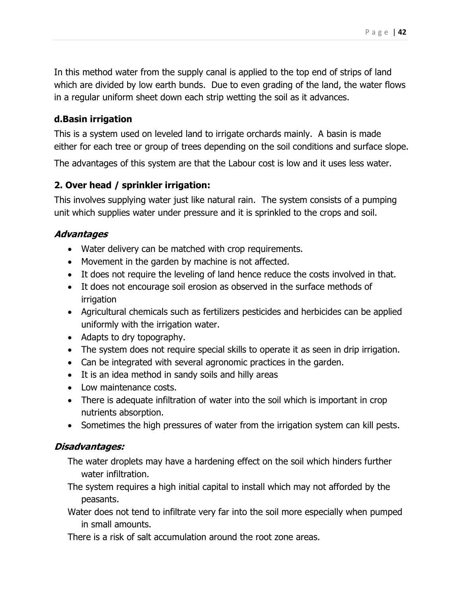In this method water from the supply canal is applied to the top end of strips of land which are divided by low earth bunds. Due to even grading of the land, the water flows in a regular uniform sheet down each strip wetting the soil as it advances.

# d.Basin irrigation

This is a system used on leveled land to irrigate orchards mainly. A basin is made either for each tree or group of trees depending on the soil conditions and surface slope.

The advantages of this system are that the Labour cost is low and it uses less water.

# 2. Over head / sprinkler irrigation:

This involves supplying water just like natural rain. The system consists of a pumping unit which supplies water under pressure and it is sprinkled to the crops and soil.

# Advantages

- Water delivery can be matched with crop requirements.
- Movement in the garden by machine is not affected.
- It does not require the leveling of land hence reduce the costs involved in that.
- It does not encourage soil erosion as observed in the surface methods of irrigation
- Agricultural chemicals such as fertilizers pesticides and herbicides can be applied uniformly with the irrigation water.
- Adapts to dry topography.
- The system does not require special skills to operate it as seen in drip irrigation.
- Can be integrated with several agronomic practices in the garden.
- It is an idea method in sandy soils and hilly areas
- Low maintenance costs.
- There is adequate infiltration of water into the soil which is important in crop nutrients absorption.
- Sometimes the high pressures of water from the irrigation system can kill pests.

# Disadvantages:

- The water droplets may have a hardening effect on the soil which hinders further water infiltration.
- The system requires a high initial capital to install which may not afforded by the peasants.
- Water does not tend to infiltrate very far into the soil more especially when pumped in small amounts.
- There is a risk of salt accumulation around the root zone areas.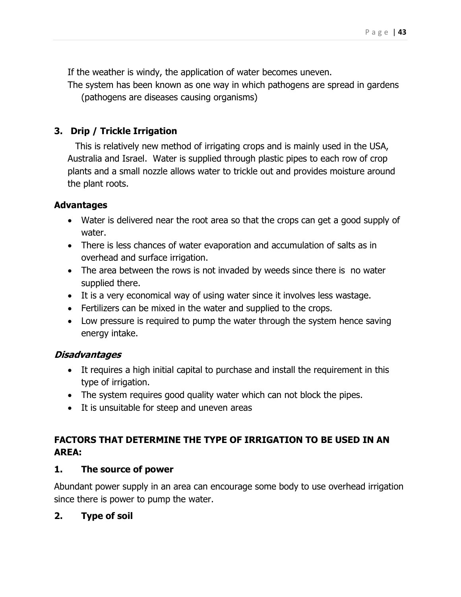If the weather is windy, the application of water becomes uneven.

The system has been known as one way in which pathogens are spread in gardens (pathogens are diseases causing organisms)

# 3. Drip / Trickle Irrigation

This is relatively new method of irrigating crops and is mainly used in the USA, Australia and Israel. Water is supplied through plastic pipes to each row of crop plants and a small nozzle allows water to trickle out and provides moisture around the plant roots.

# Advantages

- Water is delivered near the root area so that the crops can get a good supply of water.
- There is less chances of water evaporation and accumulation of salts as in overhead and surface irrigation.
- The area between the rows is not invaded by weeds since there is no water supplied there.
- It is a very economical way of using water since it involves less wastage.
- Fertilizers can be mixed in the water and supplied to the crops.
- Low pressure is required to pump the water through the system hence saving energy intake.

# Disadvantages

- It requires a high initial capital to purchase and install the requirement in this type of irrigation.
- The system requires good quality water which can not block the pipes.
- It is unsuitable for steep and uneven areas

# FACTORS THAT DETERMINE THE TYPE OF IRRIGATION TO BE USED IN AN AREA:

## 1. The source of power

Abundant power supply in an area can encourage some body to use overhead irrigation since there is power to pump the water.

# 2. Type of soil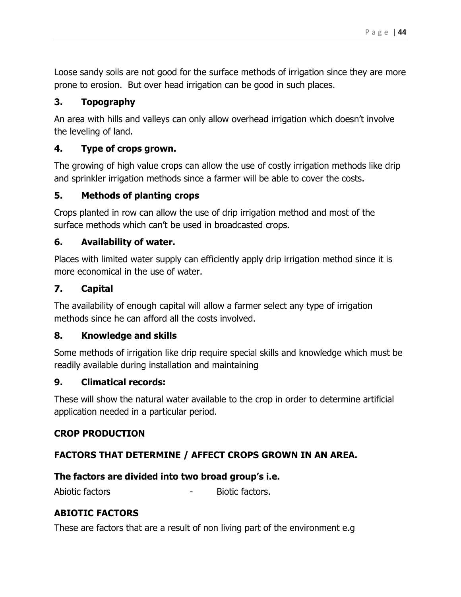Loose sandy soils are not good for the surface methods of irrigation since they are more prone to erosion. But over head irrigation can be good in such places.

## 3. Topography

An area with hills and valleys can only allow overhead irrigation which doesn't involve the leveling of land.

## 4. Type of crops grown.

The growing of high value crops can allow the use of costly irrigation methods like drip and sprinkler irrigation methods since a farmer will be able to cover the costs.

## 5. Methods of planting crops

Crops planted in row can allow the use of drip irrigation method and most of the surface methods which can't be used in broadcasted crops.

## 6. Availability of water.

Places with limited water supply can efficiently apply drip irrigation method since it is more economical in the use of water.

# 7. Capital

The availability of enough capital will allow a farmer select any type of irrigation methods since he can afford all the costs involved.

## 8. Knowledge and skills

Some methods of irrigation like drip require special skills and knowledge which must be readily available during installation and maintaining

## 9. Climatical records:

These will show the natural water available to the crop in order to determine artificial application needed in a particular period.

# CROP PRODUCTION

# FACTORS THAT DETERMINE / AFFECT CROPS GROWN IN AN AREA.

## The factors are divided into two broad group's i.e.

Abiotic factors **abiotic factors**.

# ABIOTIC FACTORS

These are factors that are a result of non living part of the environment e.g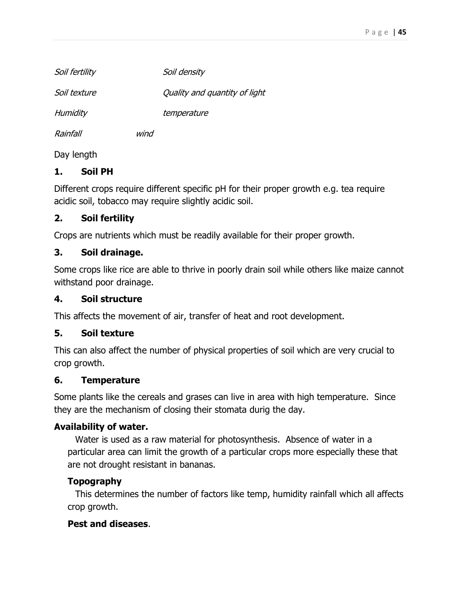| Soil fertility | Soil density                  |
|----------------|-------------------------------|
| Soil texture   | Quality and quantity of light |
| Humidity       | temperature                   |

Rainfall wind

Day length

## 1. Soil PH

Different crops require different specific pH for their proper growth e.g. tea require acidic soil, tobacco may require slightly acidic soil.

## 2. Soil fertility

Crops are nutrients which must be readily available for their proper growth.

## 3. Soil drainage.

Some crops like rice are able to thrive in poorly drain soil while others like maize cannot withstand poor drainage.

### 4. Soil structure

This affects the movement of air, transfer of heat and root development.

### 5. Soil texture

This can also affect the number of physical properties of soil which are very crucial to crop growth.

### 6. Temperature

Some plants like the cereals and grases can live in area with high temperature. Since they are the mechanism of closing their stomata durig the day.

## Availability of water.

Water is used as a raw material for photosynthesis. Absence of water in a particular area can limit the growth of a particular crops more especially these that are not drought resistant in bananas.

## Topography

This determines the number of factors like temp, humidity rainfall which all affects crop growth.

## Pest and diseases.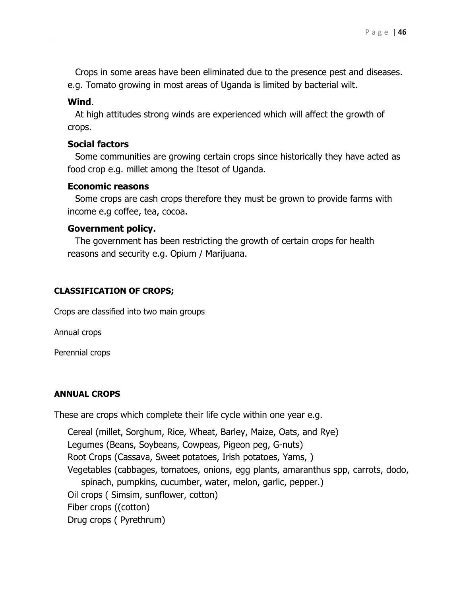Crops in some areas have been eliminated due to the presence pest and diseases. e.g. Tomato growing in most areas of Uganda is limited by bacterial wilt.

#### Wind.

At high attitudes strong winds are experienced which will affect the growth of crops.

### Social factors

Some communities are growing certain crops since historically they have acted as food crop e.g. millet among the Itesot of Uganda.

### Economic reasons

Some crops are cash crops therefore they must be grown to provide farms with income e.g coffee, tea, cocoa.

#### Government policy.

The government has been restricting the growth of certain crops for health reasons and security e.g. Opium / Marijuana.

#### CLASSIFICATION OF CROPS;

Crops are classified into two main groups

Annual crops

Perennial crops

#### ANNUAL CROPS

These are crops which complete their life cycle within one year e.g.

Cereal (millet, Sorghum, Rice, Wheat, Barley, Maize, Oats, and Rye) Legumes (Beans, Soybeans, Cowpeas, Pigeon peg, G-nuts) Root Crops (Cassava, Sweet potatoes, Irish potatoes, Yams, ) Vegetables (cabbages, tomatoes, onions, egg plants, amaranthus spp, carrots, dodo, spinach, pumpkins, cucumber, water, melon, garlic, pepper.) Oil crops ( Simsim, sunflower, cotton) Fiber crops ((cotton) Drug crops ( Pyrethrum)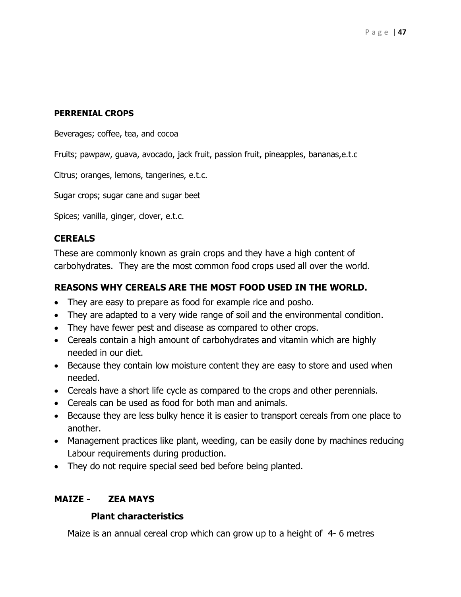### PERRENIAL CROPS

Beverages; coffee, tea, and cocoa

Fruits; pawpaw, guava, avocado, jack fruit, passion fruit, pineapples, bananas,e.t.c

Citrus; oranges, lemons, tangerines, e.t.c.

Sugar crops; sugar cane and sugar beet

Spices; vanilla, ginger, clover, e.t.c.

### CEREALS

These are commonly known as grain crops and they have a high content of carbohydrates. They are the most common food crops used all over the world.

## REASONS WHY CEREALS ARE THE MOST FOOD USED IN THE WORLD.

- They are easy to prepare as food for example rice and posho.
- They are adapted to a very wide range of soil and the environmental condition.
- They have fewer pest and disease as compared to other crops.
- Cereals contain a high amount of carbohydrates and vitamin which are highly needed in our diet.
- Because they contain low moisture content they are easy to store and used when needed.
- Cereals have a short life cycle as compared to the crops and other perennials.
- Cereals can be used as food for both man and animals.
- Because they are less bulky hence it is easier to transport cereals from one place to another.
- Management practices like plant, weeding, can be easily done by machines reducing Labour requirements during production.
- They do not require special seed bed before being planted.

### MAIZE - ZEA MAYS

### Plant characteristics

Maize is an annual cereal crop which can grow up to a height of 4- 6 metres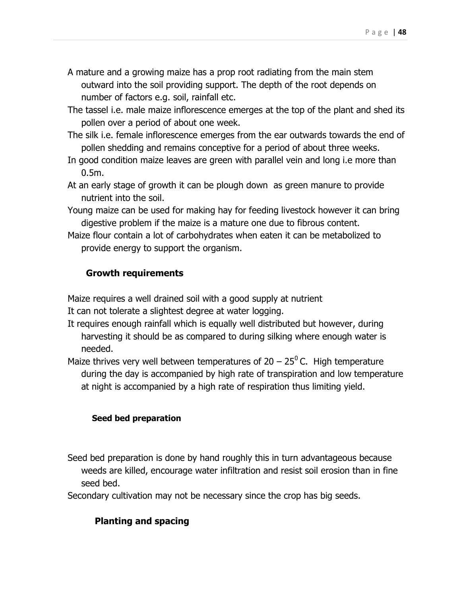- A mature and a growing maize has a prop root radiating from the main stem outward into the soil providing support. The depth of the root depends on number of factors e.g. soil, rainfall etc.
- The tassel i.e. male maize inflorescence emerges at the top of the plant and shed its pollen over a period of about one week.
- The silk i.e. female inflorescence emerges from the ear outwards towards the end of pollen shedding and remains conceptive for a period of about three weeks.
- In good condition maize leaves are green with parallel vein and long i.e more than 0.5m.
- At an early stage of growth it can be plough down as green manure to provide nutrient into the soil.
- Young maize can be used for making hay for feeding livestock however it can bring digestive problem if the maize is a mature one due to fibrous content.
- Maize flour contain a lot of carbohydrates when eaten it can be metabolized to provide energy to support the organism.

## Growth requirements

Maize requires a well drained soil with a good supply at nutrient

It can not tolerate a slightest degree at water logging.

- It requires enough rainfall which is equally well distributed but however, during harvesting it should be as compared to during silking where enough water is needed.
- Maize thrives very well between temperatures of  $20 25^{\circ}$  C. High temperature during the day is accompanied by high rate of transpiration and low temperature at night is accompanied by a high rate of respiration thus limiting yield.

### Seed bed preparation

Seed bed preparation is done by hand roughly this in turn advantageous because weeds are killed, encourage water infiltration and resist soil erosion than in fine seed bed.

Secondary cultivation may not be necessary since the crop has big seeds.

## Planting and spacing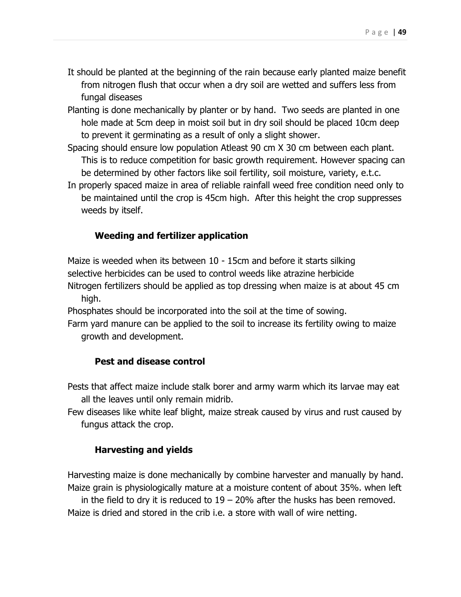- It should be planted at the beginning of the rain because early planted maize benefit from nitrogen flush that occur when a dry soil are wetted and suffers less from fungal diseases
- Planting is done mechanically by planter or by hand. Two seeds are planted in one hole made at 5cm deep in moist soil but in dry soil should be placed 10cm deep to prevent it germinating as a result of only a slight shower.
- Spacing should ensure low population Atleast 90 cm X 30 cm between each plant. This is to reduce competition for basic growth requirement. However spacing can be determined by other factors like soil fertility, soil moisture, variety, e.t.c.
- In properly spaced maize in area of reliable rainfall weed free condition need only to be maintained until the crop is 45cm high. After this height the crop suppresses weeds by itself.

## Weeding and fertilizer application

Maize is weeded when its between 10 - 15cm and before it starts silking selective herbicides can be used to control weeds like atrazine herbicide Nitrogen fertilizers should be applied as top dressing when maize is at about 45 cm high.

Phosphates should be incorporated into the soil at the time of sowing.

Farm yard manure can be applied to the soil to increase its fertility owing to maize growth and development.

### Pest and disease control

- Pests that affect maize include stalk borer and army warm which its larvae may eat all the leaves until only remain midrib.
- Few diseases like white leaf blight, maize streak caused by virus and rust caused by fungus attack the crop.

### Harvesting and yields

Harvesting maize is done mechanically by combine harvester and manually by hand. Maize grain is physiologically mature at a moisture content of about 35%. when left in the field to dry it is reduced to 19 – 20% after the husks has been removed. Maize is dried and stored in the crib i.e. a store with wall of wire netting.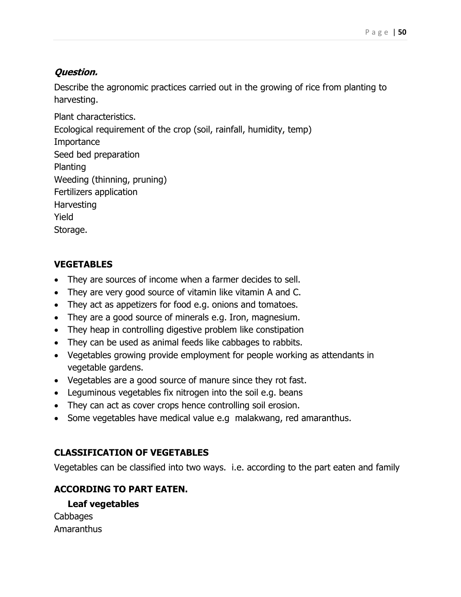## Question.

Describe the agronomic practices carried out in the growing of rice from planting to harvesting.

Plant characteristics. Ecological requirement of the crop (soil, rainfall, humidity, temp) **Importance** Seed bed preparation Planting Weeding (thinning, pruning) Fertilizers application **Harvesting** Yield Storage.

# VEGETABLES

- They are sources of income when a farmer decides to sell.
- They are very good source of vitamin like vitamin A and C.
- They act as appetizers for food e.g. onions and tomatoes.
- They are a good source of minerals e.g. Iron, magnesium.
- They heap in controlling digestive problem like constipation
- They can be used as animal feeds like cabbages to rabbits.
- Vegetables growing provide employment for people working as attendants in vegetable gardens.
- Vegetables are a good source of manure since they rot fast.
- Leguminous vegetables fix nitrogen into the soil e.g. beans
- They can act as cover crops hence controlling soil erosion.
- Some vegetables have medical value e.g malakwang, red amaranthus.

# CLASSIFICATION OF VEGETABLES

Vegetables can be classified into two ways. i.e. according to the part eaten and family

# ACCORDING TO PART EATEN.

Leaf vegetables **Cabbages** Amaranthus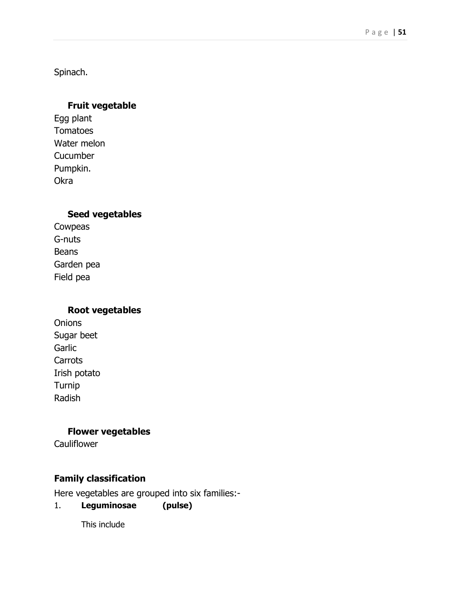Spinach.

## Fruit vegetable

Egg plant Tomatoes Water melon Cucumber Pumpkin. Okra

## Seed vegetables

Cowpeas G-nuts Beans Garden pea Field pea

## Root vegetables

**Onions** Sugar beet **Garlic Carrots** Irish potato Turnip Radish

## Flower vegetables

**Cauliflower** 

# Family classification

Here vegetables are grouped into six families:-

## 1. Leguminosae (pulse)

This include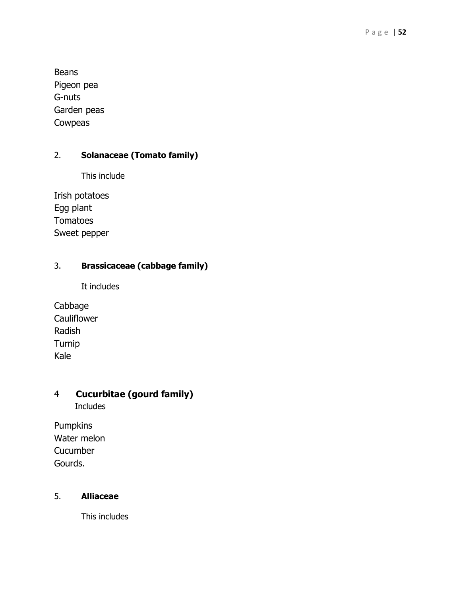Beans Pigeon pea G-nuts Garden peas Cowpeas

## 2. Solanaceae (Tomato family)

This include

Irish potatoes Egg plant Tomatoes Sweet pepper

### 3. Brassicaceae (cabbage family)

It includes

Cabbage **Cauliflower** Radish Turnip Kale

### 4 Cucurbitae (gourd family) **Includes**

Pumpkins Water melon Cucumber Gourds.

#### 5. Alliaceae

This includes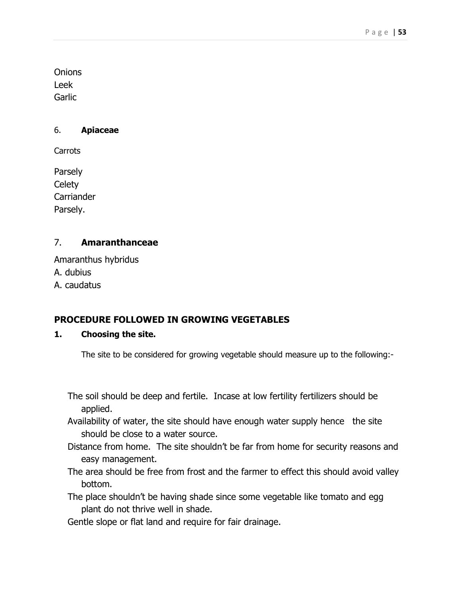**Onions** Leek Garlic

#### 6. Apiaceae

**Carrots** 

Parsely **Celety Carriander** Parsely.

### 7. Amaranthanceae

Amaranthus hybridus A. dubius A. caudatus

## PROCEDURE FOLLOWED IN GROWING VEGETABLES

### 1. Choosing the site.

The site to be considered for growing vegetable should measure up to the following:-

- The soil should be deep and fertile. Incase at low fertility fertilizers should be applied.
- Availability of water, the site should have enough water supply hence the site should be close to a water source.
- Distance from home. The site shouldn't be far from home for security reasons and easy management.
- The area should be free from frost and the farmer to effect this should avoid valley bottom.
- The place shouldn't be having shade since some vegetable like tomato and egg plant do not thrive well in shade.
- Gentle slope or flat land and require for fair drainage.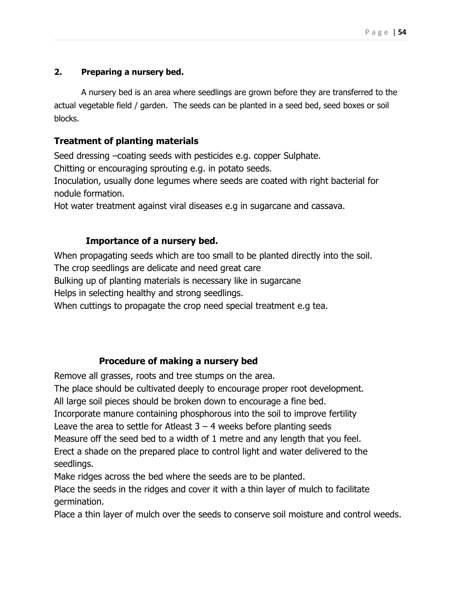### 2. Preparing a nursery bed.

A nursery bed is an area where seedlings are grown before they are transferred to the actual vegetable field / garden. The seeds can be planted in a seed bed, seed boxes or soil blocks.

## Treatment of planting materials

Seed dressing –coating seeds with pesticides e.g. copper Sulphate.

Chitting or encouraging sprouting e.g. in potato seeds.

Inoculation, usually done legumes where seeds are coated with right bacterial for nodule formation.

Hot water treatment against viral diseases e.g in sugarcane and cassava.

## Importance of a nursery bed.

When propagating seeds which are too small to be planted directly into the soil. The crop seedlings are delicate and need great care

Bulking up of planting materials is necessary like in sugarcane

Helps in selecting healthy and strong seedlings.

When cuttings to propagate the crop need special treatment e.g tea.

## Procedure of making a nursery bed

Remove all grasses, roots and tree stumps on the area.

The place should be cultivated deeply to encourage proper root development. All large soil pieces should be broken down to encourage a fine bed.

Incorporate manure containing phosphorous into the soil to improve fertility

Leave the area to settle for Atleast  $3 - 4$  weeks before planting seeds

Measure off the seed bed to a width of 1 metre and any length that you feel.

Erect a shade on the prepared place to control light and water delivered to the seedlings.

Make ridges across the bed where the seeds are to be planted.

Place the seeds in the ridges and cover it with a thin layer of mulch to facilitate germination.

Place a thin layer of mulch over the seeds to conserve soil moisture and control weeds.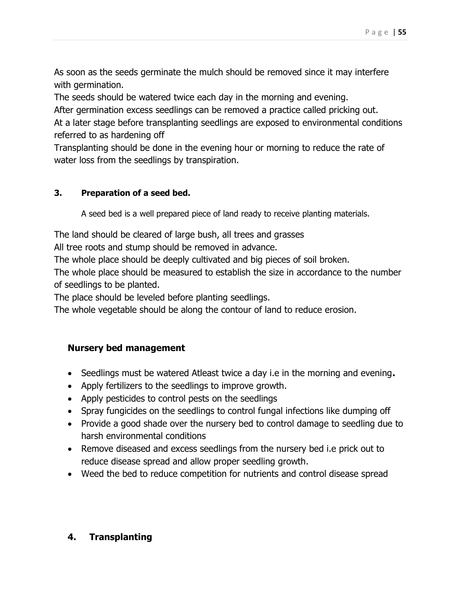As soon as the seeds germinate the mulch should be removed since it may interfere with germination.

The seeds should be watered twice each day in the morning and evening.

After germination excess seedlings can be removed a practice called pricking out.

At a later stage before transplanting seedlings are exposed to environmental conditions referred to as hardening off

Transplanting should be done in the evening hour or morning to reduce the rate of water loss from the seedlings by transpiration.

## 3. Preparation of a seed bed.

A seed bed is a well prepared piece of land ready to receive planting materials.

The land should be cleared of large bush, all trees and grasses

All tree roots and stump should be removed in advance.

The whole place should be deeply cultivated and big pieces of soil broken.

The whole place should be measured to establish the size in accordance to the number of seedlings to be planted.

The place should be leveled before planting seedlings.

The whole vegetable should be along the contour of land to reduce erosion.

# Nursery bed management

- Seedlings must be watered Atleast twice a day i.e in the morning and evening.
- Apply fertilizers to the seedlings to improve growth.
- Apply pesticides to control pests on the seedlings
- Spray fungicides on the seedlings to control fungal infections like dumping off
- Provide a good shade over the nursery bed to control damage to seedling due to harsh environmental conditions
- Remove diseased and excess seedlings from the nursery bed i.e prick out to reduce disease spread and allow proper seedling growth.
- Weed the bed to reduce competition for nutrients and control disease spread

# 4. Transplanting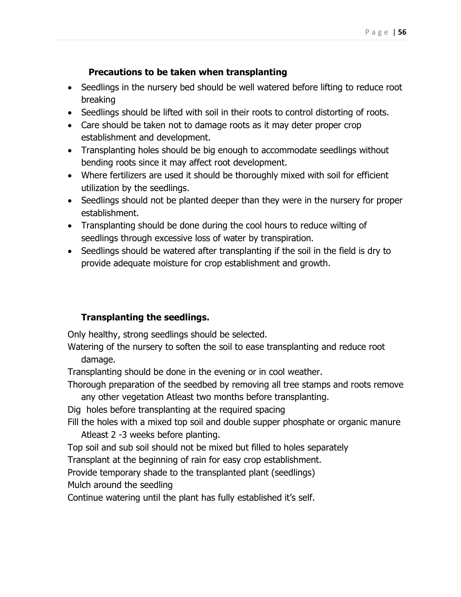## Precautions to be taken when transplanting

- Seedlings in the nursery bed should be well watered before lifting to reduce root breaking
- Seedlings should be lifted with soil in their roots to control distorting of roots.
- Care should be taken not to damage roots as it may deter proper crop establishment and development.
- Transplanting holes should be big enough to accommodate seedlings without bending roots since it may affect root development.
- Where fertilizers are used it should be thoroughly mixed with soil for efficient utilization by the seedlings.
- Seedlings should not be planted deeper than they were in the nursery for proper establishment.
- Transplanting should be done during the cool hours to reduce wilting of seedlings through excessive loss of water by transpiration.
- Seedlings should be watered after transplanting if the soil in the field is dry to provide adequate moisture for crop establishment and growth.

## Transplanting the seedlings.

Only healthy, strong seedlings should be selected.

Watering of the nursery to soften the soil to ease transplanting and reduce root damage.

Transplanting should be done in the evening or in cool weather.

Thorough preparation of the seedbed by removing all tree stamps and roots remove any other vegetation Atleast two months before transplanting.

Dig holes before transplanting at the required spacing

Fill the holes with a mixed top soil and double supper phosphate or organic manure

Atleast 2 -3 weeks before planting.

Top soil and sub soil should not be mixed but filled to holes separately

Transplant at the beginning of rain for easy crop establishment.

Provide temporary shade to the transplanted plant (seedlings)

Mulch around the seedling

Continue watering until the plant has fully established it's self.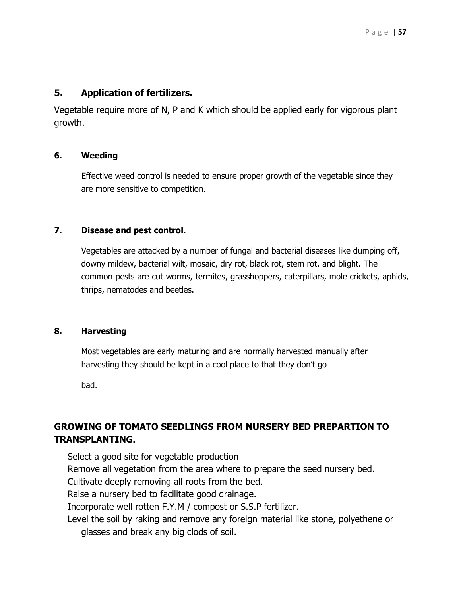## 5. Application of fertilizers.

Vegetable require more of N, P and K which should be applied early for vigorous plant growth.

### 6. Weeding

Effective weed control is needed to ensure proper growth of the vegetable since they are more sensitive to competition.

### 7. Disease and pest control.

Vegetables are attacked by a number of fungal and bacterial diseases like dumping off, downy mildew, bacterial wilt, mosaic, dry rot, black rot, stem rot, and blight. The common pests are cut worms, termites, grasshoppers, caterpillars, mole crickets, aphids, thrips, nematodes and beetles.

### 8. Harvesting

Most vegetables are early maturing and are normally harvested manually after harvesting they should be kept in a cool place to that they don't go

bad.

# GROWING OF TOMATO SEEDLINGS FROM NURSERY BED PREPARTION TO TRANSPLANTING.

Select a good site for vegetable production Remove all vegetation from the area where to prepare the seed nursery bed. Cultivate deeply removing all roots from the bed. Raise a nursery bed to facilitate good drainage. Incorporate well rotten F.Y.M / compost or S.S.P fertilizer. Level the soil by raking and remove any foreign material like stone, polyethene or glasses and break any big clods of soil.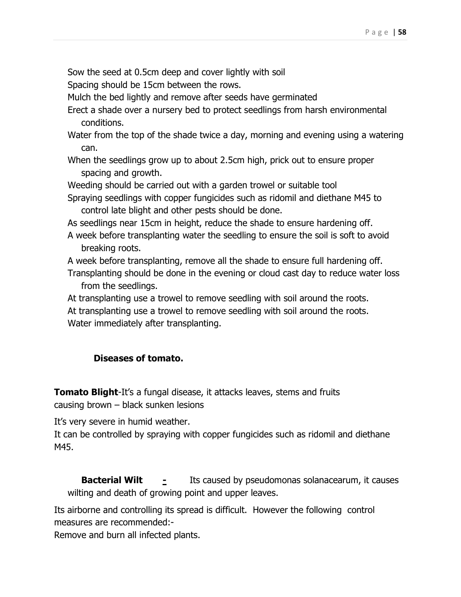Sow the seed at 0.5cm deep and cover lightly with soil

Spacing should be 15cm between the rows.

- Mulch the bed lightly and remove after seeds have germinated
- Erect a shade over a nursery bed to protect seedlings from harsh environmental conditions.
- Water from the top of the shade twice a day, morning and evening using a watering can.
- When the seedlings grow up to about 2.5cm high, prick out to ensure proper spacing and growth.
- Weeding should be carried out with a garden trowel or suitable tool
- Spraying seedlings with copper fungicides such as ridomil and diethane M45 to control late blight and other pests should be done.

As seedlings near 15cm in height, reduce the shade to ensure hardening off.

A week before transplanting water the seedling to ensure the soil is soft to avoid breaking roots.

A week before transplanting, remove all the shade to ensure full hardening off.

- Transplanting should be done in the evening or cloud cast day to reduce water loss from the seedlings.
- At transplanting use a trowel to remove seedling with soil around the roots.

At transplanting use a trowel to remove seedling with soil around the roots. Water immediately after transplanting.

## Diseases of tomato.

**Tomato Blight-It's a fungal disease, it attacks leaves, stems and fruits** causing brown – black sunken lesions

It's very severe in humid weather.

It can be controlled by spraying with copper fungicides such as ridomil and diethane M45.

**Bacterial Wilt**  $\qquad \frac{1}{2}$  Its caused by pseudomonas solanacearum, it causes wilting and death of growing point and upper leaves.

Its airborne and controlling its spread is difficult. However the following control measures are recommended:-

Remove and burn all infected plants.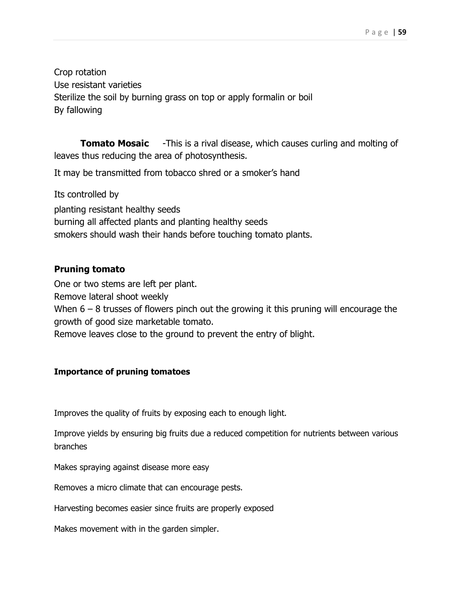Crop rotation Use resistant varieties Sterilize the soil by burning grass on top or apply formalin or boil By fallowing

**Tomato Mosaic** -This is a rival disease, which causes curling and molting of leaves thus reducing the area of photosynthesis.

It may be transmitted from tobacco shred or a smoker's hand

Its controlled by planting resistant healthy seeds burning all affected plants and planting healthy seeds smokers should wash their hands before touching tomato plants.

### Pruning tomato

One or two stems are left per plant. Remove lateral shoot weekly When  $6 - 8$  trusses of flowers pinch out the growing it this pruning will encourage the growth of good size marketable tomato. Remove leaves close to the ground to prevent the entry of blight.

#### Importance of pruning tomatoes

Improves the quality of fruits by exposing each to enough light.

Improve yields by ensuring big fruits due a reduced competition for nutrients between various branches

Makes spraying against disease more easy

Removes a micro climate that can encourage pests.

Harvesting becomes easier since fruits are properly exposed

Makes movement with in the garden simpler.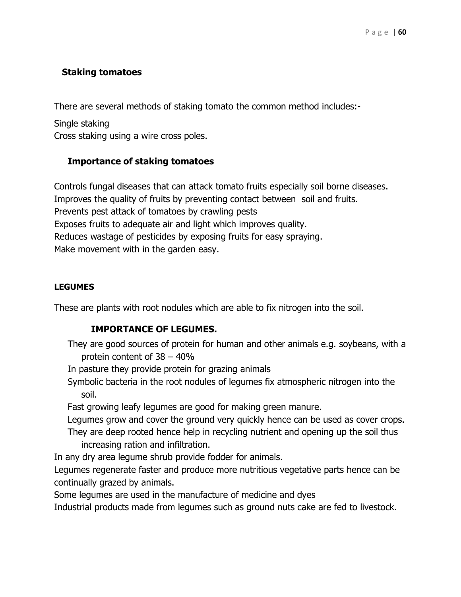## Staking tomatoes

There are several methods of staking tomato the common method includes:-

Single staking Cross staking using a wire cross poles.

## Importance of staking tomatoes

Controls fungal diseases that can attack tomato fruits especially soil borne diseases. Improves the quality of fruits by preventing contact between soil and fruits. Prevents pest attack of tomatoes by crawling pests Exposes fruits to adequate air and light which improves quality. Reduces wastage of pesticides by exposing fruits for easy spraying. Make movement with in the garden easy.

## LEGUMES

These are plants with root nodules which are able to fix nitrogen into the soil.

## IMPORTANCE OF LEGUMES.

They are good sources of protein for human and other animals e.g. soybeans, with a protein content of 38 – 40%

- In pasture they provide protein for grazing animals
- Symbolic bacteria in the root nodules of legumes fix atmospheric nitrogen into the soil.

Fast growing leafy legumes are good for making green manure.

Legumes grow and cover the ground very quickly hence can be used as cover crops.

They are deep rooted hence help in recycling nutrient and opening up the soil thus increasing ration and infiltration.

In any dry area legume shrub provide fodder for animals.

Legumes regenerate faster and produce more nutritious vegetative parts hence can be continually grazed by animals.

Some legumes are used in the manufacture of medicine and dyes

Industrial products made from legumes such as ground nuts cake are fed to livestock.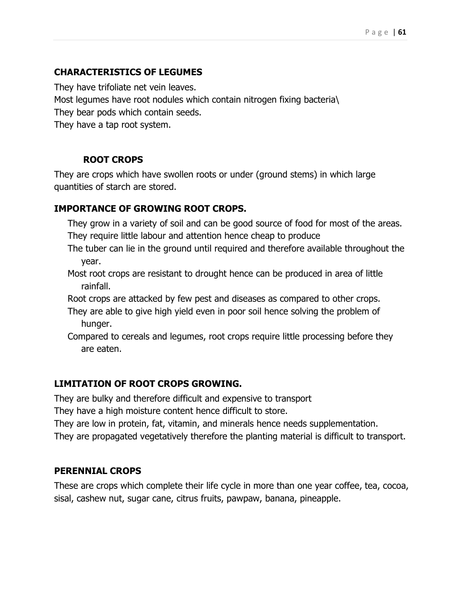## CHARACTERISTICS OF LEGUMES

They have trifoliate net vein leaves.

Most legumes have root nodules which contain nitrogen fixing bacteria

They bear pods which contain seeds.

They have a tap root system.

## ROOT CROPS

They are crops which have swollen roots or under (ground stems) in which large quantities of starch are stored.

## IMPORTANCE OF GROWING ROOT CROPS.

They grow in a variety of soil and can be good source of food for most of the areas. They require little labour and attention hence cheap to produce

- The tuber can lie in the ground until required and therefore available throughout the year.
- Most root crops are resistant to drought hence can be produced in area of little rainfall.
- Root crops are attacked by few pest and diseases as compared to other crops.
- They are able to give high yield even in poor soil hence solving the problem of hunger.
- Compared to cereals and legumes, root crops require little processing before they are eaten.

# LIMITATION OF ROOT CROPS GROWING.

They are bulky and therefore difficult and expensive to transport

They have a high moisture content hence difficult to store.

They are low in protein, fat, vitamin, and minerals hence needs supplementation.

They are propagated vegetatively therefore the planting material is difficult to transport.

## PERENNIAL CROPS

These are crops which complete their life cycle in more than one year coffee, tea, cocoa, sisal, cashew nut, sugar cane, citrus fruits, pawpaw, banana, pineapple.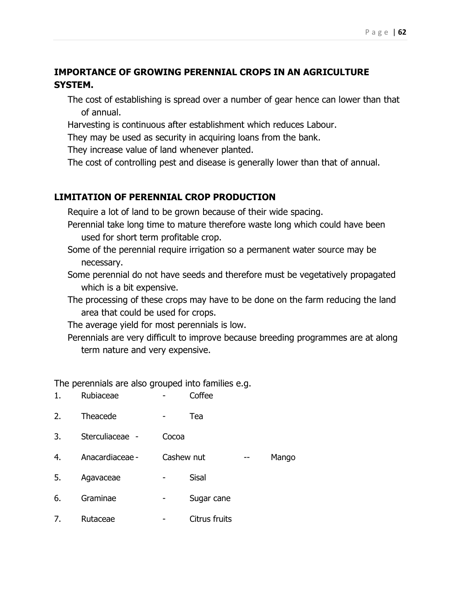# IMPORTANCE OF GROWING PERENNIAL CROPS IN AN AGRICULTURE SYSTEM.

The cost of establishing is spread over a number of gear hence can lower than that of annual.

Harvesting is continuous after establishment which reduces Labour.

They may be used as security in acquiring loans from the bank.

They increase value of land whenever planted.

The cost of controlling pest and disease is generally lower than that of annual.

## LIMITATION OF PERENNIAL CROP PRODUCTION

Require a lot of land to be grown because of their wide spacing.

- Perennial take long time to mature therefore waste long which could have been used for short term profitable crop.
- Some of the perennial require irrigation so a permanent water source may be necessary.

Some perennial do not have seeds and therefore must be vegetatively propagated which is a bit expensive.

The processing of these crops may have to be done on the farm reducing the land area that could be used for crops.

The average yield for most perennials is low.

Perennials are very difficult to improve because breeding programmes are at along term nature and very expensive.

The perennials are also grouped into families e.g.

| 1. | Rubiaceae       |       | Coffee        |       |
|----|-----------------|-------|---------------|-------|
| 2. | Theacede        |       | Tea           |       |
| 3. | Sterculiaceae - | Cocoa |               |       |
| 4. | Anacardiaceae - |       | Cashew nut    | Mango |
| 5. | Agavaceae       |       | Sisal         |       |
| 6. | Graminae        |       | Sugar cane    |       |
| 7. | Rutaceae        |       | Citrus fruits |       |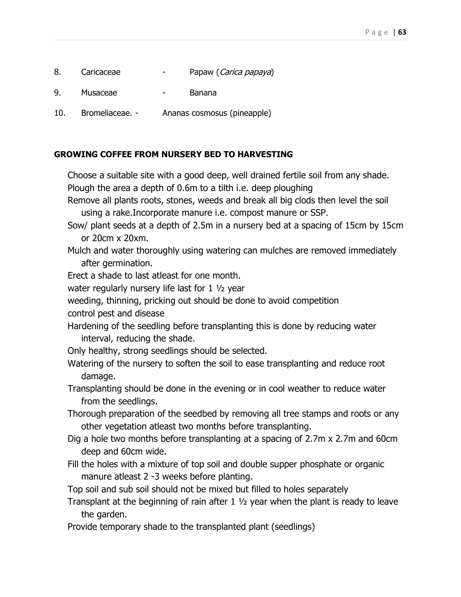| 8. | Caricaceae |  | Papaw (Carica papaya) |
|----|------------|--|-----------------------|
|----|------------|--|-----------------------|

- 9. Musaceae Banana
- 10. Bromeliaceae. Ananas cosmosus (pineapple)

### GROWING COFFEE FROM NURSERY BED TO HARVESTING

Choose a suitable site with a good deep, well drained fertile soil from any shade. Plough the area a depth of 0.6m to a tilth i.e. deep ploughing

- Remove all plants roots, stones, weeds and break all big clods then level the soil using a rake.Incorporate manure i.e. compost manure or SSP.
- Sow/ plant seeds at a depth of 2.5m in a nursery bed at a spacing of 15cm by 15cm or 20cm x 20xm.
- Mulch and water thoroughly using watering can mulches are removed immediately after germination.
- Erect a shade to last atleast for one month.
- water regularly nursery life last for 1 ½ year
- weeding, thinning, pricking out should be done to avoid competition
- control pest and disease
- Hardening of the seedling before transplanting this is done by reducing water interval, reducing the shade.
- Only healthy, strong seedlings should be selected.
- Watering of the nursery to soften the soil to ease transplanting and reduce root damage.
- Transplanting should be done in the evening or in cool weather to reduce water from the seedlings.
- Thorough preparation of the seedbed by removing all tree stamps and roots or any other vegetation atleast two months before transplanting.
- Dig a hole two months before transplanting at a spacing of 2.7m x 2.7m and 60cm deep and 60cm wide.
- Fill the holes with a mixture of top soil and double supper phosphate or organic manure atleast 2 -3 weeks before planting.

Top soil and sub soil should not be mixed but filled to holes separately

- Transplant at the beginning of rain after 1 ½ year when the plant is ready to leave the garden.
- Provide temporary shade to the transplanted plant (seedlings)